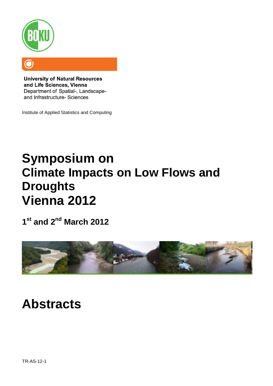

**University of Natural Resources** and Life Sciences, Vienna Department of Spatial-, Landscapeand Infrastructure- Sciences

Institute of Applied Statistics and Computing

# **Symposium on Climate Impacts on Low Flows and Droughts Vienna 2012**

**1 st and 2nd March 2012**



## **Abstracts**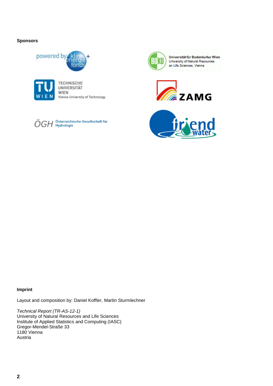## **Sponsors**





**TECHNISCHE** UNIVERSITÄT WIEN Vienna University of Technology





Universität für Bodenkultur Wien University of Natural Resources an Life Sciences, Vienna





#### **Imprint**

Layout and composition by: Daniel Koffler, Martin Sturmlechner

*Technical Report (TR-AS-12-1)* University of Natural Resources and Life Sciences Institute of Applied Statistics and Computing (IASC) Gregor-Mendel-Straße 33 1180 Vienna Austria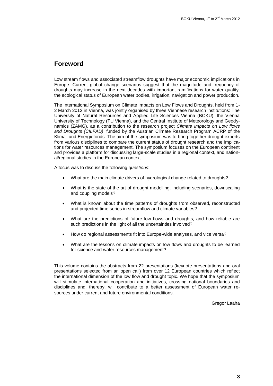## **Foreword**

Low stream flows and associated streamflow droughts have major economic implications in Europe. Current global change scenarios suggest that the magnitude and frequency of droughts may increase in the next decades with important ramifications for water quality, the ecological status of European water bodies, irrigation, navigation and power production.

The International Symposium on Climate Impacts on Low Flows and Droughts, held from 1- 2 March 2012 in Vienna, was jointly organised by three Viennese research institutions: The University of Natural Resources and Applied Life Sciences Vienna (BOKU), the Vienna University of Technology (TU Vienna), and the Central Institute of Meteorology and Geodynamics (ZAMG), as a contribution to the research project *Climate Impacts on Low flows and Droughts (CILFAD)*, funded by the Austrian Climate Research Program ACRP of the Klima- und Energiefonds. The aim of the symposium was to bring together drought experts from various disciplines to compare the current status of drought research and the implications for water resources management. The symposium focuses on the European continent and provides a platform for discussing large-scale studies in a regional context, and national/regional studies in the European context.

A focus was to discuss the following *questions*:

- What are the main climate drivers of hydrological change related to droughts?
- What is the state-of-the-art of drought modelling, including scenarios, downscaling and coupling models?
- What is known about the time patterns of droughts from observed, reconstructed and projected time series in streamflow and climate variables?
- What are the predictions of future low flows and droughts, and how reliable are such predictions in the light of all the uncertainties involved?
- How do regional assessments fit into Europe-wide analyses, and vice versa?
- What are the lessons on climate impacts on low flows and droughts to be learned for science and water resources management?

This volume contains the abstracts from 22 presentations (keynote presentations and oral presentations selected from an open call) from over 12 European countries which reflect the international dimension of the low flow and drought topic. We hope that the symposium will stimulate international cooperation and initiatives, crossing national boundaries and disciplines and, thereby, will contribute to a better assessment of European water resources under current and future environmental conditions.

Gregor Laaha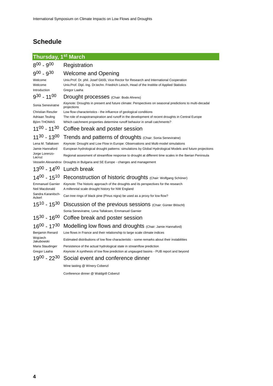## **Schedule**

| <b>Thursday, 1st March</b>                                                |                                                                                                                                                                                                                                                     |
|---------------------------------------------------------------------------|-----------------------------------------------------------------------------------------------------------------------------------------------------------------------------------------------------------------------------------------------------|
| $8^{00} - 9^{00}$                                                         | Registration                                                                                                                                                                                                                                        |
| $9^{00} - 9^{30}$                                                         | <b>Welcome and Opening</b>                                                                                                                                                                                                                          |
| Welcome<br>Welcome<br>Introduction                                        | Univ.Prof. Dr. phil. Josef Glößl, Vice Rector for Research and International Cooperation<br>Univ Prof. Dipl.-Ing. Dr.techn. Friedrich Leisch, Head of the Institite of Applied Statistics<br>Gregor Laaha                                           |
| 9 <sup>30</sup> - 11 <sup>00</sup>                                        | Drought processes (Chair: Bodo Ahrens)                                                                                                                                                                                                              |
| Sonia Seneviratne                                                         | Keynote: Droughts in present and future climate: Perspectives on seasonal predictions to multi-decadal<br>projections                                                                                                                               |
| Christian Reszler<br>Adriaan Teuling<br>Björn THOMAS                      | Low flow characteristics - the influence of geological conditions<br>The role of evapotranspiration and runoff in the development of recent droughts in Central Europe<br>Which catchment properties determine runoff behavior in small catchments? |
| $11^{00}$ - 11 <sup>30</sup>                                              | Coffee break and poster session                                                                                                                                                                                                                     |
| $11^{30} - 13^{00}$                                                       | Trends and patterns of droughts (Chair: Sonia Seneviratne)                                                                                                                                                                                          |
| Lena M. Tallaksen<br>Jamie Hannaford                                      | Keynote: Drought and Low Flow in Europe: Observations and Multi-model simulations<br>European hydrological drought patterns: simulations by Global Hydrological Models and future projections                                                       |
| Jorge Lorenzo-<br>Lacruz                                                  | Regional assesment of streamflow response to drought at different time scales in the Iberian Peninsula                                                                                                                                              |
|                                                                           | Vesselin Alexandrov Droughts in Bulgaria and SE Europe - changes and management                                                                                                                                                                     |
| $13^{00} - 14^{00}$                                                       | Lunch break                                                                                                                                                                                                                                         |
| $14^{00} - 15^{10}$                                                       | Reconstruction of historic droughts (Chair: Wolfgang Schöner)                                                                                                                                                                                       |
| <b>Emmanuel Garnier</b><br>Neil Macdonald<br>Sandra Karanitsch-<br>Ackerl | Keynote: The historic approach of the droughts and its perspectives for the research<br>A millennial scale drought history for NW England                                                                                                           |
|                                                                           | Can tree rings of black pine (Pinus nigra) be used as a proxy for low flow?                                                                                                                                                                         |
| $15^{10} - 15^{30}$                                                       | Discussion of the previous sessions (Chair: Günter Blöschl)                                                                                                                                                                                         |
|                                                                           | Sonia Seneviratne, Lena Tallaksen, Emmanuel Garnier                                                                                                                                                                                                 |
| $15^{30} - 16^{00}$                                                       | Coffee break and poster session                                                                                                                                                                                                                     |
| $16^{00} - 17^{30}$                                                       | Modelling low flows and droughts (Chair: Jamie Hannaford)                                                                                                                                                                                           |
| Benjamin Renard                                                           | Low flows in France and their relationship to large scale climate indices                                                                                                                                                                           |
| Wojciech<br>Jakubowski                                                    | Estimated distributions of low flow characteristic - some remarks about their instabilities                                                                                                                                                         |
| Maria Staudinger<br>Gregor Laaha                                          | Persistence of the actual hydrological state in streamflow prediction<br>Keynote: A synthesis of low flow prediction at ungauged basins - PUB report and beyond                                                                                     |
| $19^{00} - 22^{30}$                                                       | Social event and conference dinner                                                                                                                                                                                                                  |
|                                                                           | Wine tasting @ Winery Cobenzl                                                                                                                                                                                                                       |

Conference dinner @ Waldgrill Cobenzl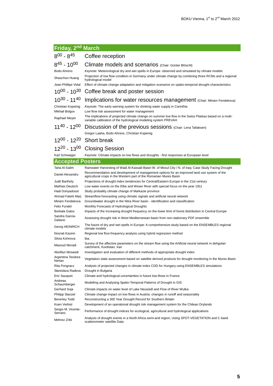## **Friday, 2nd March**

#### $8^{00}$  -  $8$ Coffee reception

#### 8 45 Climate models and scenarios (Chair: Günter Blöschl) Bodo Ahrens *Keynote:* Meteorological dry and wet spells in Europe: observed and simulated by climate models

Shaochun Huang Projection of low flow condition in Germany under climate change by combining three RCMs and a regional<br>
Notice and a regional hydrological model

Jean-Phillipe Vidal Effect of climate change adaptation and mitigation scenarios on spatio-temporal drought characteristics

#### $10^{00} - 10^{30}$ Coffee break and poster session

#### $10^{30} - 11^{40}$ Implications for water resources management (Chair: Miriam Fendekova)

Christian Kopeinig *Keynote:* The early warning system for drinking water supply in Carinthia Mikhail Bolgov Low flow risk assessment for water management

Raphael Meyer<br>
Yorioble colibration of the budrelogical modeling sustem BREVAH<br>
Note that the budrelogical modeling sustem BREVAH variable calibration of the hydrological modeling system PREVAH

 $11^{40} - 12^{00}$ Discussion of the previous sessions (Chair: Lena Tallaksen)

Gregor Laaha, Bodo Ahrens, Christian Kopeinig

## 12 $00 - 12^{20}$  Short break

## 12<sup>20</sup> - 13<sup>00</sup> Closing Session

Karl Schwaiger *Keynote:* Climate impacts on low flows and droughts - first responses at European level

## **Accepted Posters**

| Taha Al-Salim                 | Rainwater Harvesting of Wadi Al-Kassab Basin W. of Mosul City / N. of Irag; Case Study Facing Drought                                                             |
|-------------------------------|-------------------------------------------------------------------------------------------------------------------------------------------------------------------|
| Daniel Alexandru              | Recommendation and development of management options for an improved land use system of the<br>agricultural crops in the Western part of the Romanian Mures Basin |
| Judit Bartholy                | Projections of drought index tendencies for Central/Eastern Europe in the 21st century                                                                            |
| Mathias Deutsch               | Low water events on the Elbe and Weser River with special focus on the year 1911                                                                                  |
| Hadi Donyadoost               | Study probaility climate change of Markazie province                                                                                                              |
| Ahmad Fatehi Mari             | Streamflow forecasting using climatic signals and artificial neural network                                                                                       |
| Miriam Fendekova              | Groundwater drought in the Nitra River basin - identification and classification                                                                                  |
| Felix Fundel                  | Monthly Forecasts of Hydrological Droughts                                                                                                                        |
| Borbala Galos                 | Impacts of the increasing drought frequency on the lower limit of forest distribution in Central Europe                                                           |
| Sandra Garcia-<br>Galiano     | Assessing drought risk in West Mediterranean basin from non-stationary PDF ensemble                                                                               |
| Georg HEINRICH                | The future of dry and wet spells in Europe: A comprehensive study based on the ENSEMBLES regional<br>climate models                                               |
| Nosrati Kazem                 | Regional low flow frequency analysis using hybrid regression method                                                                                               |
| Silvia Kohnova                | tba.                                                                                                                                                              |
| Masoud Moradi                 | Survey of the affective parameters on the stream flow using the Artificial neural network in dehgolan<br>catchment, Kurdistan, Iran                               |
| Abolfazi Mosaedi              | Investigation and evaluation of different methods of appropriate drought index                                                                                    |
| Argentina Teodora<br>Nertan   | Vegetation state assessment based on satellite derived products for drought monitoring in the Mures Basin                                                         |
| Rita Pongracz                 | Analysis of projected changes in climate index CDD for Hungary using ENSEMBLES simulations                                                                        |
| Stanislava Radeva             | Drought in Bulgaria                                                                                                                                               |
| Eric Sauguet                  | Climate and hydrological uncertainties in future low-flows in France                                                                                              |
| Andreas<br>Schaumberger       | Modelling and Analysing Spatio-Temporal Patterns of Drought in GIS                                                                                                |
| Gerhard Soja                  | Climate impacts on water level of Lake Neusiedl and Flow of River Wulka                                                                                           |
| Philipp Stanzel               | Climate change impact on low flows in Austria: changes in runoff and seasonality                                                                                  |
| <b>Beverley Todd</b>          | Reconstructing a 300 Year Drought Record for Southern Britain                                                                                                     |
| Koen Verbist                  | Development of an operational drought risk management system for the Chilean Drylands                                                                             |
| Sergio M. Vicente-<br>Serrano | Performance of drought indices for ecological, agricultural and hydrological applications                                                                         |
| Mehrez Zribi                  | Analysis of drought events in a North Africa semi-arid region, Using SPOT-VEGETATION and C band<br>scatterometer satellite Data                                   |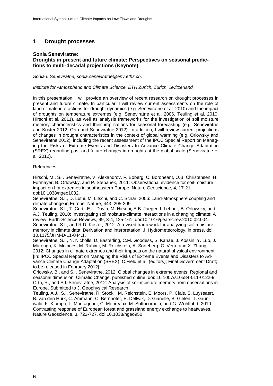## **1 Drought processes**

## **Sonia Seneviratne:**

## **Droughts in present and future climate: Perspectives on seasonal predictions to multi-decadal projections (Keynote)**

*Sonia I. Seneviratne, sonia.seneviratne@env.ethz.ch,* 

#### *Institute for Atmospheric and Climate Science, ETH Zurich, Zurich, Switzerland*

In this presentation, I will provide an overview of recent research on drought processes in present and future climate. In particular, I will review current assessments on the role of land-climate interactions for drought dynamics (e.g. Seneviratne et al. 2010) and the impact of droughts on temperature extremes (e.g. Seneviratne et al. 2006, Teuling et al. 2010, Hirschi et al. 2011), as well as analysis frameworks for the investigation of soil moisture memory characteristics and their implications for seasonal forecasting (e.g. Seneviratne and Koster 2012, Orth and Seneviratne 2012). In addition, I will review current projections of changes in drought characteristics in the context of global warming (e.g. Orlowsky and Seneviratne 2012), including the recent assessment of the IPCC Special Report on Managing the Risks of Extreme Events and Disasters to Advance Climate Change Adaptation (SREX) regarding past and future changes in droughts at the global scale (Seneviratne et al. 2012).

## References:

Hirschi, M., S.I. Seneviratne, V. Alexandrov, F. Boberg, C. Boroneant, O.B. Christensen, H. Formayer, B. Orlowsky, and P. Stepanek, 2011: Observational evidence for soil-moisture impact on hot extremes in southeastern Europe. Nature Geoscience, 4, 17-21, doi:10.1038/ngeo1032.

Seneviratne, S.I., D. Lüthi, M. Litschi, and C. Schär, 2006: Land-atmosphere coupling and climate change in Europe. Nature, 443, 205-209.

Seneviratne, S.I., T. Corti, E.L. Davin, M. Hirschi, E.B. Jaeger, I. Lehner, B. Orlowsky, and A.J. Teuling, 2010: Investigating soil moisture-climate interactions in a changing climate: A review. Earth-Science Reviews, 99, 3-4, 125-161, doi:10.1016/j.earscirev.2010.02.004. Seneviratne, S.I., and R.D. Koster, 2012: A revised framework for analyzing soil moisture memory in climate data: Derivation and interpretation. J. Hydrometeorology, in press, doi: 10.1175/JHM-D-11-044.1.

Seneviratne, S.I., N. Nicholls, D. Easterling, C.M. Goodess, S. Kanae, J. Kossin, Y. Luo, J. Marengo, K. McInnes, M. Rahimi, M. Reichstein, A. Sorteberg, C. Vera, and X. Zhang, 2012: Changes in climate extremes and their impacts on the natural physical environment. [In: IPCC Special Report on Managing the Risks of Extreme Events and Disasters to Advance Climate Change Adaptation (SREX), C.Field et al. (editors); Final Government Draft; to be released in February 2012]

Orlowsky, B., and S.I. Seneviratne, 2012: Global changes in extreme events: Regional and seasonal dimension. Climatic Change, published online, doi: 10.1007/s10584-011-0122-9 Orth, R., and S.I. Seneviratne, 2012: Analysis of soil moisture memory from observations in Europe. Submitted to J. Geophysical Research.

Teuling, A.J., S.I. Seneviratne, R. Stöckli, M. Reichstein, E. Moors, P. Ciais, S. Luyssaert, B. van den Hurk, C. Ammann, C. Bernhofer, E. Dellwik, D. Gianelle, B. Gielen, T. Grünwald, K. Klumpp, L. Montagnani, C. Moureaux, M. Sottocornola, and G. Wohlfahrt, 2010: Contrasting response of European forest and grassland energy exchange to heatwaves. Nature Geoscience, 3, 722-727, doi:10.1038/ngeo950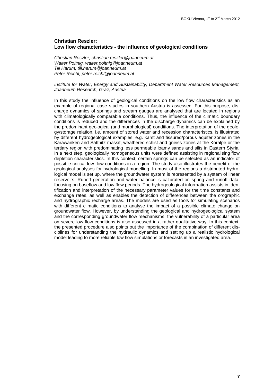## **Christian Reszler: Low flow characteristics - the influence of geological conditions**

*Christian Reszler, christian.reszler@joanneum.at Walter Poltnig, walter.poltnig@joanneum.at Till Harum, till.harum@joanneum.at Peter Reichl, peter.reichl@joanneum.at*

#### *Institute for Water, Energy and Sustainability, Department Water Resources Management, Joanneum Research, Graz, Austria*

In this study the influence of geological conditions on the low flow characteristics as an example of regional case studies in southern Austria is assessed. For this purpose, discharge dynamics of springs and stream gauges are analysed that are located in regions with climatologically comparable conditions. Thus, the influence of the climatic boundary conditions is reduced and the differences in the discharge dynamics can be explained by the predominant geological (and morphological) conditions. The interpretation of the geology/storage relation, i.e. amount of stored water and recession characteristics, is illustrated by different hydrogeological examples, e.g. karst and fissured/porous aquifer zones in the Karawanken and Sattnitz massif, weathered schist and gneiss zones at the Koralpe or the tertiary region with predominating less permeable loamy sands and silts in Eastern Styria. In a next step, geologically homogeneous units were defined assisting in regionalising flow depletion characteristics. In this context, certain springs can be selected as an indicator of possible critical low flow conditions in a region. The study also illustrates the benefit of the geological analyses for hydrological modelling. In most of the regions a distributed hydrological model is set up, where the groundwater system is represented by a system of linear reservoirs. Runoff generation and water balance is calibrated on spring and runoff data, focusing on baseflow and low flow periods. The hydrogeological information assists in identification and interpretation of the necessary parameter values for the time constants and exchange rates, as well as enables the detection of differences between the orographic and hydrographic recharge areas. The models are used as tools for simulating scenarios with different climatic conditions to analyse the impact of a possible climate change on groundwater flow. However, by understanding the geological and hydrogeological system and the corresponding groundwater flow mechanisms, the vulnerability of a particular area on severe low flow conditions is also assessed in a rather qualitative way. In this context, the presented procedure also points out the importance of the combination of different disciplines for understanding the hydraulic dynamics and setting up a realistic hydrological model leading to more reliable low flow simulations or forecasts in an investigated area.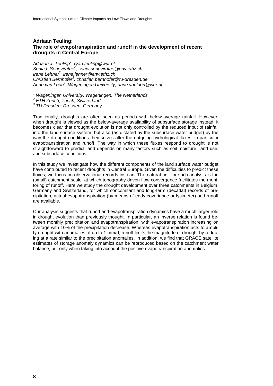## **Adriaan Teuling: The role of evapotranspiration and runoff in the development of recent droughts in Central Europe**

*Adriaan J. Teuling<sup>1</sup> , ryan.teuling@wur.nl Sonia I. Seneviratne<sup>2</sup> , sonia.seneviratne@env.ethz.ch Irene Lehner<sup>2</sup> , irene.lehner@env.ethz.ch Christian Bernhofer<sup>3</sup> , christian.bernhofer@tu-dresden.de Anne van Loon<sup>1</sup> , Wageningen University, anne.vanloon@wur.nl*

*<sup>1</sup> Wageningen University, Wageningen, The Netherlands*

*2 ETH Zurich, Zurich, Switzerland*

*3 TU Dresden, Dresden, Germany*

Traditionally, droughts are often seen as periods with below-average rainfall. However, when drought is viewed as the below-average availability of subsurface storage instead, it becomes clear that drought evolution is not only controlled by the reduced input of rainfall into the land surface system, but also (as dictated by the subsurface water budget) by the way the drought conditions themselves alter the outgoing hydrological fluxes, in particular evapotranspiration and runoff. The way in which these fluxes respond to drought is not straightforward to predict, and depends on many factors such as soil moisture, land use, and subsurface conditions.

In this study we investigate how the different components of the land surface water budget have contributed to recent droughts in Central Europe. Given the difficulties to predict these fluxes, we focus on observational records instead. The natural unit for such analysis is the (small) catchment scale, at which topography-driven flow convergence facilitates the monitoring of runoff. Here we study the drought development over three catchments in Belgium, Germany and Switzerland, for which concomitant and long-term (decadal) records of precipitation, actual evapotranspiration (by means of eddy covariance or lysimeter) and runoff are available.

Our analysis suggests that runoff and evapotranspiration dynamics have a much larger role in drought evolution than previously thought. In particular, an inverse relation is found between monthly precipitation and evapotranspiration, with evapotranspiration increasing on average with 10% of the precipitation decrease. Whereas evapotranspiration acts to amplify drought with anomalies of up to 1 mm/d, runoff limits the magnitude of drought by reducing at a rate similar to the precipitation anomalies. In addition, we find that GRACE satellite estimates of storage anomaly dynamics can be reproduced based on the catchment water balance, but only when taking into account the positive evapotranspiration anomalies.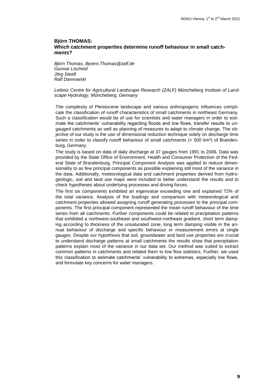## **Björn THOMAS: Which catchment properties determine runoff behaviour in small catchments?**

*Björn Thomas, Bjoern.Thomas@zalf.de Gunnar Lischeid Jörg Steidl Ralf Dannowski*

#### *Leibniz Centre for Agricultural Landscape Research (ZALF) Müncheberg Institute of Landscape Hydrology, Müncheberg, Germany*

The complexity of Pleistocene landscape and various anthropogenic influences complicate the classification of runoff characteristics of small catchments in northeast Germany. Such a classification would be of use for scientists and water managers in order to estimate the catchments' vulnerability regarding floods and low flows, transfer results to ungauged catchments as well as planning of measures to adapt to climate change. The objective of our study is the use of dimensional reduction technique solely on discharge time series in order to classify runoff behaviour of small catchments (< 500 km<sup>2</sup>) of Brandenburg, Germany.

The study is based on data of daily discharge at 37 gauges from 1991 to 2006. Data was provided by the State Office of Environment, Health and Consumer Protection of the Federal State of Brandenburg. Principal Component Analysis was applied to reduce dimensionality to as few principal components as possible explaining still most of the variance in the data. Additionally, meteorological data and catchment properties derived from hydrogeologic, soil and land use maps were included to better understand the results and to check hypotheses about underlying processes and driving forces.

The first six components exhibited an eigenvalue exceeding one and explained 72% of the total variance. Analysis of the loadings and comparison with meteorological and catchment properties allowed assigning runoff generating processes to the principal components. The first principal component represented the mean runoff behaviour of the time series from all catchments. Further components could be related to precipitation patterns that exhibited a northwest-southeast and southwest-northeast gradient, short term damping according to thickness of the unsaturated zone, long term damping visible in the annual behaviour of discharge and specific behaviour or measurement errors at single gauges. Despite our hypothesis that soil, groundwater and land use properties are crucial to understand discharge patterns at small catchments the results show that precipitation patterns explain most of the variance in our data set. Our method was suited to extract common patterns in catchments and related them to low flow statistics. Further, we used this classification to estimate catchments' vulnerability to extremes, especially low flows, and formulate key concerns for water managers.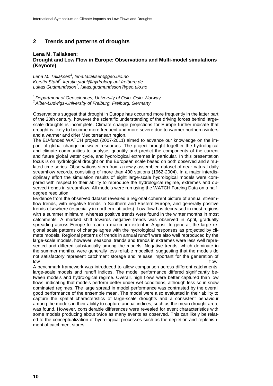## **2 Trends and patterns of droughts**

## **Lena M. Tallaksen: Drought and Low Flow in Europe: Observations and Multi-model simulations (Keynote)**

*Lena M. Tallaksen<sup>1</sup> , lena.tallaksen@geo.uio.no Kerstin Stahl<sup>2</sup> , kerstin.stahl@hydrology.uni-freiburg.de Lukas Gudmundsson<sup>1</sup> , lukas.gudmundsson@geo.uio.no*

*<sup>1</sup>Department of Geosciences, University of Oslo, Oslo, Norway <sup>2</sup>Alber-Ludwigs-University of Freiburg, Freiburg, Germany*

Observations suggest that drought in Europe has occurred more frequently in the latter part of the 20th century, however the scientific understanding of the driving forces behind largescale droughts is incomplete. Climate change projections for Europe further indicate that drought is likely to become more frequent and more severe due to warmer northern winters and a warmer and drier Mediterranean region.

The EU-funded WATCH project (2007-2011) aimed to advance our knowledge on the impact of global change on water resources. The project brought together the hydrological and climate communities to analyse, quantify and predict the components of the current and future global water cycle, and hydrological extremes in particular. In this presentation focus is on hydrological drought on the European scale based on both observed and simulated time series. Observations stem from a newly assembled dataset of near-natural daily streamflow records, consisting of more than 400 stations (1962-2004). In a major interdisciplinary effort the simulation results of eight large-scale hydrological models were compared with respect to their ability to reproduce the hydrological regime, extremes and observed trends in streamflow. All models were run using the WATCH Forcing Data on a halfdegree resolution.

Evidence from the observed dataset revealed a regional coherent picture of annual streamflow trends, with negative trends in Southern and Eastern Europe, and generally positive trends elsewhere (especially in northern latitudes). Low flow has decreased in most regions with a summer minimum, whereas positive trends were found in the winter months in most catchments. A marked shift towards negative trends was observed in April, gradually spreading across Europe to reach a maximum extent in August. In general, the large regional scale patterns of change agree with the hydrological responses as projected by climate models. Regional patterns of trends in annual runoff were also well reproduced by the large-scale models, however, seasonal trends and trends in extremes were less well represented and differed substantially among the models. Negative trends, which dominate in the summer months, were generally less reliable modelled, suggesting that the models do not satisfactory represent catchment storage and release important for the generation of low flow that is a state of the contract of the contract of the contract of the contract of the contract of the

A benchmark framework was introduced to allow comparison across different catchments, large-scale models and runoff indices. The model performance differed significantly between models and hydrological regime. Overall, high flows were better captured than low flows, indicating that models perform better under wet conditions, although less so in snow dominated regimes. The large spread in model performance was contrasted by the overall good performance of the ensemble mean. The model were also evaluated in their ability to capture the spatial characteristics of large-scale droughts and a consistent behaviour among the models in their ability to capture annual indices, such as the mean drought area, was found. However, considerable differences were revealed for event characteristics with some models producing about twice as many events as observed. This can likely be related to the conceptualization of hydrological processes such as the depletion and replenishment of catchment stores.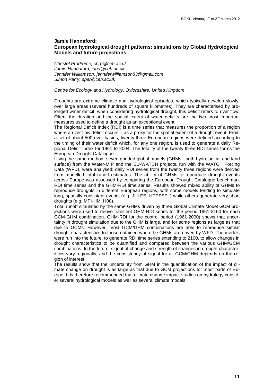## **Jamie Hannaford: European hydrological drought patterns: simulations by Global Hydrological Models and future projections**

*Christel Prodrome, chrp@ceh.ac.uk Jamie Hannaford, jaha@ceh.ac.uk Jennifer Williamson, jenniferwilliamson83@gmail.com Simon Parry, spar@ceh.ac.uk*

#### *Centre for Ecology and Hydrology, Oxfordshire, United Kingdom*

Droughts are extreme climatic and hydrological episodes, which typically develop slowly, over large areas (several hundreds of square kilometres). They are characterised by prolonged water deficit; when considering hydrological drought, this deficit refers to river flow. Often, the duration and the spatial extent of water deficits are the two most important measures used to define a drought as an exceptional event.

The Regional Deficit Index (RDI) is a time series that measures the proportion of a region where a river flow deficit occurs – as a proxy for the spatial extent of a drought event. From a set of about 500 river basins, twenty three European regions were defined according to the timing of their water deficit which, for any one region, is used to generate a daily Regional Deficit Index for 1961 to 2004. The totality of the twenty three RDI series forms the European Drought Catalogue.

Using the same method, seven gridded global models (GHMs– both hydrological and land surface) from the Water-MIP and the EU-WATCH projects, run with the WATCH Forcing Data (WFD), were analysed; daily RDI series from the twenty three regions were derived from modelled total runoff estimates. The ability of GHMs to reproduce drought events across Europe was assessed by comparing the European Drought Catalogue benchmark RDI time series and the GHM-RDI time series. Results showed mixed ability of GHMs to reproduce droughts in different European regions, with some models tending to simulate long, spatially consistent events (e.g. JULES, HTESSEL) while others generate very short droughts (e.g. MPI-HM, H08).

Total runoff simulated by the same GHMs driven by three Global Climate Model GCM projections were used to derive transient GHM-RDI series for the period 1961-2100 for each GCM-GHM combination. GHM-RDI for the control period (1961-2000) shows that uncertainty in drought simulation due to the GHM is large, and for some regions as large as that due to GCMs. However, most GCM/GHM combinations are able to reproduce similar drought characteristics to those obtained when the GHMs are driven by WFD. The models were run into the future, to generate RDI time series extending to 2100, to allow changes in drought characteristics to be quantified and compared between the various GHM/GCM combinations. In the future, signal of change and strength of changes in drought characteristics vary regionally, and the consistency of signal for all GCM/GHM depends on the region of interest.

The results show that the uncertainty from GHM in the quantification of the impact of climate change on drought is as large as that due to GCM projections for most parts of Europe. It is therefore recommended that climate change impact studies on hydrology consider several hydrological models as well as several climate models.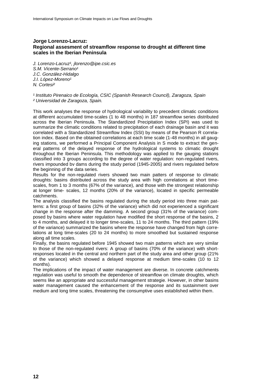## **Jorge Lorenzo-Lacruz: Regional assesment of streamflow response to drought at different time scales in the Iberian Peninsula**

*J. Lorenzo-Lacruz¹, jlorenzo@ipe.csic.es* S.M. Vicente-Serrano<sup>1</sup> *J.C. González-Hidalgo* J.I. López-Moreno<sup>1</sup> *N. Cortesi²*

*¹ Instituto Pirenaico de Ecología, CSIC (Spanish Research Council), Zaragoza, Spain ² Universidad de Zaragoza, Spain.*

This work analyses the response of hydrological variability to precedent climatic conditions at different accumulated time-scales (1 to 48 months) in 187 streamflow series distributed across the Iberian Peninsula. The Standardized Precipitation Index (SPI) was used to summarize the climatic conditions related to precipitation of each drainage basin and it was correlated with a Standardized Streamflow Index (SSI) by means of the Pearson R correlation index. Based on the obtained correlations at each time scale (1-48 months) in all gauging stations, we performed a Principal Component Analysis in S mode to extract the general patterns of the delayed response of the hydrological systems to climatic drought throughout the Iberian Peninsula. This methodology was applied to the gauging stations classified into 3 groups according to the degree of water regulation: non-regulated rivers, rivers impounded bv dams during the study period (1945-2005) and rivers regulated before the beginning of the data series.

Results for the non-regulated rivers showed two main patters of response to climatic droughts: basins distributed across the study area with high correlations at short timescales, from 1 to 3 months (67% of the variance), and those with the strongest relationship at longer time- scales, 12 months (20% of the variance), located in specific permeable catchments.

The analysis classified the basins regulated during the study period into three main patterns: a first group of basins (32% of the variance) which did not experienced a significant change in the response after the damming. A second group (31% of the variance) composed by basins where water regulation have modified the short response of the basins, 2 to 4 months, and delayed it to longer time-scales, 11 to 24 months. The third pattern (19% of the variance) summarized the basins where the response have changed from high correlations at long time-scales (20 to 24 months) to more smoothed but sustained response along all time scales.

Finally, the basins regulated before 1945 showed two main patterns which are very similar to those of the non-regulated rivers: A group of basins (70% of the variance) with shortresponses located in the central and northern part of the study area and other group (21% of the variance) which showed a delayed response at medium time-scales (10 to 12 months).

The implications of the impact of water management are diverse. In concrete catchments regulation was useful to smooth the dependence of streamflow on climate droughts, which seems like an appropriate and successful management strategie. However, in other basins water management caused the enhancement of the response and its sustainment over medium and long time scales, threatening the consumptive uses established within them.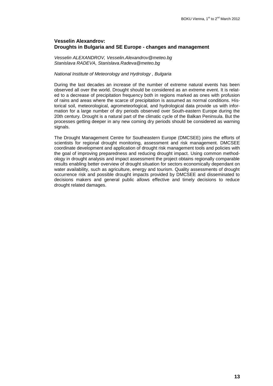## **Vesselin Alexandrov: Droughts in Bulgaria and SE Europe - changes and management**

*Vesselin ALEXANDROV, Vesselin.Alexandrov@meteo.bg Stanislava RADEVA, Stanislava.Radeva@meteo.bg*

## *National Institute of Meteorology and Hydrology , Bulgaria*

During the last decades an increase of the number of extreme natural events has been observed all over the world. Drought should be considered as an extreme event. It is related to a decrease of precipitation frequency both in regions marked as ones with profusion of rains and areas where the scarce of precipitation is assumed as normal conditions. Historical soil, meteorological, agrometeorlogical, and hydrological data provide us with information for a large number of dry periods observed over South-eastern Europe during the 20th century. Drought is a natural part of the climatic cycle of the Balkan Peninsula. But the processes getting deeper in any new coming dry periods should be considered as warning signals.

The Drought Management Centre for Southeastern Europe (DMCSEE) joins the efforts of scientists for regional drought monitoring, assessment and risk management. DMCSEE coordinate development and application of drought risk management tools and policies with the goal of improving preparedness and reducing drought impact. Using common methodology in drought analysis and impact assessment the project obtains regionally comparable results enabling better overview of drought situation for sectors economically dependant on water availability, such as agriculture, energy and tourism. Quality assessments of drought occurrence risk and possible drought impacts provided by DMCSEE and disseminated to decisions makers and general public allows effective and timely decisions to reduce drought related damages.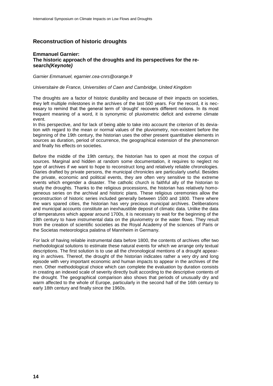## **Reconstruction of historic droughts**

## **Emmanuel Garnier: The historic approach of the droughts and its perspectives for the research***(Keynote)*

*Garnier Emmanuel, egarnier.cea-cnrs@orange.fr*

#### *Universitaire de France, Universities of Caen and Cambridge, United Kingdom*

The droughts are a factor of historic durability and because of their impacts on societies, they left multiple milestones in the archives of the last 500 years. For the record, it is necessary to remind that the general term of 'drought' recovers different notions. In its most frequent meaning of a word, it is synonymic of pluviometric deficit and extreme climate event.

In this perspective, and for lack of being able to take into account the criterion of its deviation with regard to the mean or normal values of the pluviometry, non-existent before the beginning of the 19th century, the historian uses the other present quantitative elements in sources as duration, period of occurrence, the geographical extension of the phenomenon and finally his effects on societies.

Before the middle of the 19th century, the historian has to open at most the corpus of sources. Marginal and hidden at random some documentation, it requires to neglect no type of archives if we want to hope to reconstruct long and relatively reliable chronologies. Diaries drafted by private persons, the municipal chronicles are particularly useful. Besides the private, economic and political events, they are often very sensitive to the extreme events which engender a disaster. The catholic church is faithful ally of the historian to study the droughts. Thanks to the religious processions, the historian has relatively homogeneous series on the archival and historic plans. These religious ceremonies allow the reconstruction of historic series included generally between 1500 and 1800. There where the wars spared cities, the historian has very precious municipal archives. Deliberations and municipal accounts constitute an inexhaustible deposit of climatic data. Unlike the data of temperatures which appear around 1700s, it is necessary to wait for the beginning of the 19th century to have instrumental data on the pluviometry or the water flows. They result from the creation of scientific societies as the Royal Academy of the sciences of Paris or the Societas meteorologica palatina of Mannheim in Germany.

For lack of having reliable instrumental data before 1800, the contents of archives offer two methodological solutions to estimate these natural events for which we arrange only textual descriptions. The first solution is to use all the chronological mentions of a drought appearing in archives. Thereof, the drought of the historian indicates rather a very dry and long episode with very important economic and human impacts to appear in the archives of the men. Other methodological choice which can complete the evaluation by duration consists in creating an indexed scale of severity directly built according to the descriptive contents of the drought. The geographical comparison also shows that periods of unusually dry and warm affected to the whole of Europe, particularly in the second half of the 16th century to early 18th century and finally since the 1960s.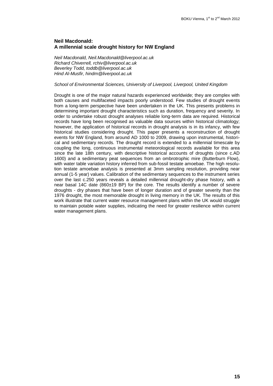## **Neil Macdonald: A millennial scale drought history for NW England**

*Neil Macdonald, Neil.Macdonald@liverpool.ac.uk Richard Chiverrell, rchiv@liverpool.ac.uk Beverley Todd, toddb@liverpool.ac.uk Hind Al-Musfir, hindm@liverpool.ac.uk*

## *School of Environmental Sciences, University of Liverpool, Liverpool, United Kingdom*

Drought is one of the major natural hazards experienced worldwide; they are complex with both causes and multifaceted impacts poorly understood. Few studies of drought events from a long-term perspective have been undertaken in the UK. This presents problems in determining important drought characteristics such as duration, frequency and severity. In order to undertake robust drought analyses reliable long-term data are required. Historical records have long been recognised as valuable data sources within historical climatology; however, the application of historical records in drought analysis is in its infancy, with few historical studies considering drought. This paper presents a reconstruction of drought events for NW England, from around AD 1000 to 2009, drawing upon instrumental, historical and sedimentary records. The drought record is extended to a millennial timescale by coupling the long, continuous instrumental meteorological records available for this area since the late 18th century, with descriptive historical accounts of droughts (since c.AD 1600) and a sedimentary peat sequences from an ombrotrophic mire (Butterburn Flow), with water table variation history inferred from sub-fossil testate amoebae. The high resolution testate amoebae analysis is presented at 3mm sampling resolution, providing near annual (1-5 year) values. Calibration of the sedimentary sequences to the instrument series over the last c.250 years reveals a detailed millennial drought-dry phase history, with a near basal 14C date (860±19 BP) for the core. The results identify a number of severe droughts - dry phases that have been of longer duration and of greater severity than the 1976 drought, the most memorable drought in living memory in the UK. The results of this work illustrate that current water resource management plans within the UK would struggle to maintain potable water supplies, indicating the need for greater resilience within current water management plans.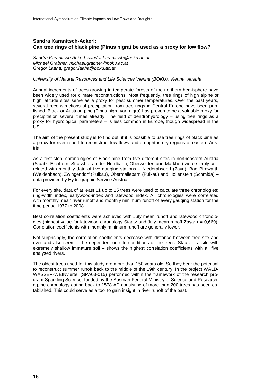## **Sandra Karanitsch-Ackerl: Can tree rings of black pine (Pinus nigra) be used as a proxy for low flow?**

*Sandra Karanitsch-Ackerl, sandra.karanitsch@boku.ac.at Michael Grabner, michael.grabner@boku.ac.at Gregor Laaha, gregor.laaha@boku.ac.at*

#### *University of Natural Resources and Life Sciences Vienna (BOKU), Vienna, Austria*

Annual increments of trees growing in temperate forests of the northern hemisphere have been widely used for climate reconstructions. Most frequently, tree rings of high alpine or high latitude sites serve as a proxy for past summer temperatures. Over the past years, several reconstructions of precipitation from tree rings in Central Europe have been published. Black or Austrian pine (Pinus nigra var. nigra) has proven to be a valuable proxy for precipitation several times already. The field of dendrohydrology – using tree rings as a proxy for hydrological parameters – is less common in Europe, though widespread in the US.

The aim of the present study is to find out, if it is possible to use tree rings of black pine as a proxy for river runoff to reconstruct low flows and drought in dry regions of eastern Austria.

As a first step, chronologies of Black pine from five different sites in northeastern Austria (Staatz, Eichhorn, Strasshof an der Nordbahn, Oberweiden and Markhof) were simply correlated with monthly data of five gauging stations – Niederabsdorf (Zaya), Bad Pirawarth (Weidenbach), Zwingendorf (Pulkau), Obermallebarn (Pulkau) and Hollenstein (Schmida) – data provided by Hydrographic Service Austria.

For every site, data of at least 11 up to 15 trees were used to calculate three chronologies: ring-width index, earlywood-index and latewood index. All chronologies were correlated with monthly mean river runoff and monthly minimum runoff of every gauging station for the time period 1977 to 2008.

Best correlation coefficients were achieved with July mean runoff and latewood chronologies (highest value for latewood chronology Staatz and July mean runoff Zaya:  $r = 0.669$ ). Correlation coefficients with monthly minimum runoff are generally lower.

Not surprisingly, the correlation coefficients decrease with distance between tree site and river and also seem to be dependent on site conditions of the trees. Staatz – a site with extremely shallow immature soil – shows the highest correlation coefficients with all five analysed rivers.

The oldest trees used for this study are more than 150 years old. So they bear the potential to reconstruct summer runoff back to the middle of the 19th century. In the project WALD-WASSER-WEINviertel (SPA03-015) performed within the framework of the research program Sparkling Science, funded by the Austrian Federal Ministry of Science and Research, a pine chronology dating back to 1578 AD consisting of more than 200 trees has been established. This could serve as a tool to gain insight in river runoff of the past.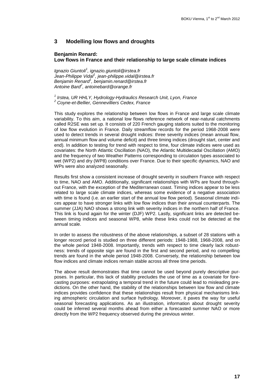## **3 Modelling low flows and droughts**

#### **Benjamin Renard:**

## **Low flows in France and their relationship to large scale climate indices**

*Ignazio Giuntoli<sup>1</sup> , ignazio.giuntoli@irstea.fr Jean-Philippe Vidal<sup>1</sup> , jean-philippe.vidal@irstea.fr Benjamin Renard<sup>1</sup> , benjamin.renard@irstea.fr Antoine Bard<sup>2</sup> , antoinebard@orange.fr*

*1 Irstea, UR HHLY, Hydrology-Hydraulics Research Unit, Lyon, France <sup>2</sup> Coyne-et-Bellier, Gennevilliers Cedex, France* 

This study explores the relationship between low flows in France and large scale climate variability. To this aim, a national low flows reference network of near-natural catchments called R2SE was set up. It consists of 220 French gauging stations suited to the monitoring of low flow evolution in France. Daily streamflow records for the period 1968-2008 were used to detect trends in several drought indices: three severity indices (mean annual flow, annual minimum flow and volume deficit) and three timing indices (drought start, center and end). In addition to testing for trend with respect to time, four climate indices were used as covariates: the North Atlantic Oscillation (NAO), the Atlantic Multidecadal Oscillation (AMO) and the frequency of two Weather Patterns corresponding to circulation types associated to wet (WP2) and dry (WP8) conditions over France. Due to their specific dynamics, NAO and WPs were also analyzed seasonally.

Results first show a consistent increase of drought severity in southern France with respect to time, NAO and AMO. Additionally, significant relationships with WPs are found throughout France, with the exception of the Mediterranean coast. Timing indices appear to be less related to large scale climate indices, whereas some evidence of a negative association with time is found (i.e. an earlier start of the annual low flow period). Seasonal climate indices appear to have stronger links with low flow indices than their annual counterparts. The summer (JJA) NAO shows a strong link with severity indices in the northern half of France. This link is found again for the winter (DJF) WP2. Lastly, significant links are detected between timing indices and seasonal WP8, while these links could not be detected at the annual scale.

In order to assess the robustness of the above relationships, a subset of 28 stations with a longer record period is studied on three different periods: 1948-1988, 1968-2008, and on the whole period 1948-2008. Importantly, trends with respect to time clearly lack robustness: trends of opposite sign are found in the first and second period, and no compelling trends are found in the whole period 1948-2008. Conversely, the relationship between low flow indices and climate indices remain stable across all three time periods.

The above result demonstrates that time cannot be used beyond purely descriptive purposes. In particular, this lack of stability precludes the use of time as a covariate for forecasting purposes: extrapolating a temporal trend in the future could lead to misleading predictions. On the other hand, the stability of the relationships between low flow and climate indices provides confidence that these relationships result from physical mechanisms linking atmospheric circulation and surface hydrology. Moreover, it paves the way for useful seasonal forecasting applications. As an illustration, information about drought severity could be inferred several months ahead from either a forecasted summer NAO or more directly from the WP2 frequency observed during the previous winter.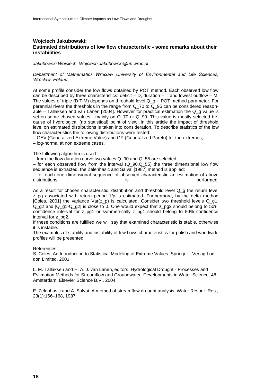## **Wojciech Jakubowski: Estimated distributions of low flow characteristic - some remarks about their instabilities**

*Jakubowski Wojciech, Wojciech.Jakubowski@up.wroc.pl*

#### *Department of Mathematics Wrocław University of Environmental and Life Sciences, Wrocław, Poland*

At some profile consider the low flows obtained by POT method. Each observed low flow can be described by three characteristics: deficit  $-$  D, duration  $-$  T and lowest outflow  $-$  M. The values of triple (D;T;M) depends on threshold level Q\_g – POT method parameter. For perennial rivers the thresholds in the range from Q\_70 to Q\_95 can be considered reasonable – Tallaksen and van Lanen [2004]. However for practical estimation the Q\_g value is set on some chosen values - mainly on Q\_70 or Q\_90. This value is mostly selected because of hydrological (no statistical) point of view. In this article the impact of threshold level on estimated distributions is taken into consideration. To describe statistics of the low flow characteristics the following distributions were tested:

– GEV (Generalized Extreme Value) and GP (Generalized Pareto) for the extremes;

– log-normal at non extreme cases.

The following algorithm is used:

– from the flow duration curve two values  $Q$  90 and  $Q$  55 are selected;

– for each observed flow from the interval  $(Q_90,Q_55)$  the three dimensional low flow sequence is extracted, the Zelenhasic and Salvai [1987] method is applied;

– for each one dimensional sequence of observed characteristic an estimation of above distributions is performed.

As a result for chosen characteristic, distribution and threshold level Q\_g the return level z\_pg associated with return period 1/p is estimated. Furthermore, by the delta method [Coles, 2001] the variance Var(z\_p) is calculated. Consider two threshold levels Q\_g1, Q\_g2 and |Q\_g1-Q\_g2| is close to 0. One would expect that z\_pg2 should belong to 50% confidence interval for z\_pg1 or symmetrically z\_pg1 should belong to 50% confidence interval for z\_pg2.

If these conditions are fulfilled we will say that examined characteristic is stable, otherwise it is instable.

The examples of stability and instability of low flows characteristics for polish and worldwide profiles will be presented.

#### References:

S. Coles. An Introduction to Statistical Modeling of Extreme Values. Springer - Verlag London Limited, 2001.

L. M. Tallaksen and H. A. J. van Lanen, editors. Hydrological Drought - Processes and Estimation Methods for Streamflow and Groundwater. Developments in Water Science, 48. Amsterdam, Elsevier Science B.V., 2004.

E. Zelenhasic and A. Salvai. A method of streamflow drought analysis. Water Resour. Res., 23(1):156–168, 1987.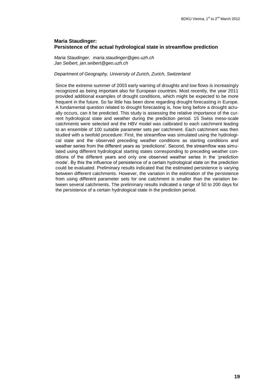## **Maria Staudinger: Persistence of the actual hydrological state in streamflow prediction**

*Maria Staudinger, maria.staudinger@geo.uzh.ch Jan Seibert, jan.seibert@geo.uzh.ch*

## *Department of Geography, University of Zurich, Zurich, Switzerland*

Since the extreme summer of 2003 early warning of droughts and low flows is increasingly recognized as being important also for European countries. Most recently, the year 2011 provided additional examples of drought conditions, which might be expected to be more frequent in the future. So far little has been done regarding drought forecasting in Europe. A fundamental question related to drought forecasting is, how long before a drought actually occurs, can it be predicted. This study is assessing the relative importance of the current hydrological state and weather during the prediction period. 15 Swiss meso-scale catchments were selected and the HBV model was calibrated to each catchment leading to an ensemble of 100 suitable parameter sets per catchment. Each catchment was then studied with a twofold procedure: First, the streamflow was simulated using the hydrological state and the observed preceding weather conditions as starting conditions and weather series from the different years as 'predictions'. Second, the streamflow was simulated using different hydrological starting states corresponding to preceding weather conditions of the different years and only one observed weather series in the 'prediction mode'. By this the influence of persistence of a certain hydrological state on the prediction could be evaluated. Preliminary results indicated that the estimated persistence is varying between different catchments. However, the variation in the estimation of the persistence from using different parameter sets for one catchment is smaller than the variation between several catchments. The preliminary results indicated a range of 50 to 200 days for the persistence of a certain hydrological state in the prediction period.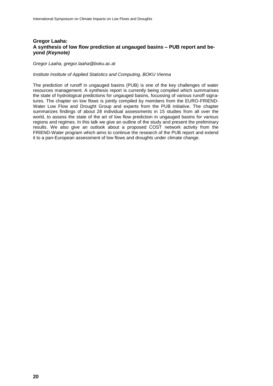## **Gregor Laaha: A synthesis of low flow prediction at ungauged basins – PUB report and beyond** *(Keynote)*

*Gregor Laaha, gregor.laaha@boku.ac.at*

## *Institute Institute of Applied Statistics and Computing, BOKU Vienna*

The prediction of runoff in ungauged basins (PUB) is one of the key challenges of water resources management. A synthesis report is currently being compiled which summarises the state of hydrological predictions for ungauged basins, focussing of various runoff signatures. The chapter on low flows is jointly compiled by members from the EURO-FRIEND-Water Low Flow and Drought Group and experts from the PUB initiative. The chapter summarizes findings of about 28 individual assessments in 15 studies from all over the world, to assess the state of the art of low flow prediction in ungauged basins for various regions and regimes. In this talk we give an outline of the study and present the preliminary results. We also give an outlook about a proposed COST network activity from the FRIEND-Water program which aims to continue the research of the PUB report and extend it to a pan-European assessment of low flows and droughts under climate change.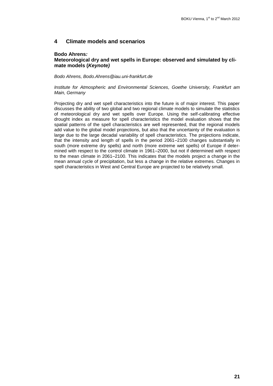## **4 Climate models and scenarios**

## **Bodo Ahrens***:*

## **Meteorological dry and wet spells in Europe: observed and simulated by climate models (***Keynote)*

#### *Bodo Ahrens, Bodo.Ahrens@iau.uni-frankfurt.de*

#### *Institute for Atmospheric and Environmental Sciences, Goethe University, Frankfurt am Main, Germany*

Projecting dry and wet spell characteristics into the future is of major interest. This paper discusses the ability of two global and two regional climate models to simulate the statistics of meteorological dry and wet spells over Europe. Using the self-calibrating effective drought index as measure for spell characteristics the model evaluation shows that the spatial patterns of the spell characteristics are well represented, that the regional models add value to the global model projections, but also that the uncertainty of the evaluation is large due to the large decadal variability of spell characteristics. The projections indicate, that the intensity and length of spells in the period 2061–2100 changes substantially in south (more extreme dry spells) and north (more extreme wet spells) of Europe if determined with respect to the control climate in 1961–2000, but not if determined with respect to the mean climate in 2061–2100. This indicates that the models project a change in the mean annual cycle of precipitation, but less a change in the relative extremes. Changes in spell characteristics in West and Central Europe are projected to be relatively small.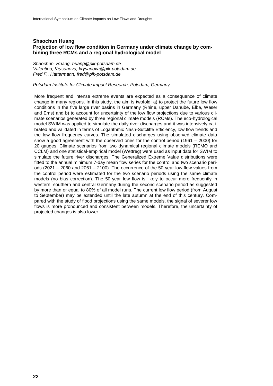## **Shaochun Huang Projection of low flow condition in Germany under climate change by combining three RCMs and a regional hydrological model**

*Shaochun, Huang, huang@pik-potsdam.de Valentina, Krysanova, krysanova@pik-potsdam.de Fred F., Hattermann, fred@pik-potsdam.de*

#### *Potsdam Institute for Climate Impact Research, Potsdam, Germany*

More frequent and intense extreme events are expected as a consequence of climate change in many regions. In this study, the aim is twofold: a) to project the future low flow conditions in the five large river basins in Germany (Rhine, upper Danube, Elbe, Weser and Ems) and b) to account for uncertainty of the low flow projections due to various climate scenarios generated by three regional climate models (RCMs). The eco-hydrological model SWIM was applied to simulate the daily river discharges and it was intensively calibrated and validated in terms of Logarithmic Nash-Sutcliffe Efficiency, low flow trends and the low flow frequency curves. The simulated discharges using observed climate data show a good agreement with the observed ones for the control period (1961 – 2000) for 20 gauges. Climate scenarios from two dynamical regional climate models (REMO and CCLM) and one statistical-empirical model (Wettreg) were used as input data for SWIM to simulate the future river discharges. The Generalized Extreme Value distributions were fitted to the annual minimum 7-day mean flow series for the control and two scenario periods (2021 – 2060 and 2061 – 2100). The occurrence of the 50-year low flow values from the control period were estimated for the two scenario periods using the same climate models (no bias correction). The 50-year low flow is likely to occur more frequently in western, southern and central Germany during the second scenario period as suggested by more than or equal to 80% of all model runs. The current low flow period (from August to September) may be extended until the late autumn at the end of this century. Compared with the study of flood projections using the same models, the signal of severer low flows is more pronounced and consistent between models. Therefore, the uncertainty of projected changes is also lower.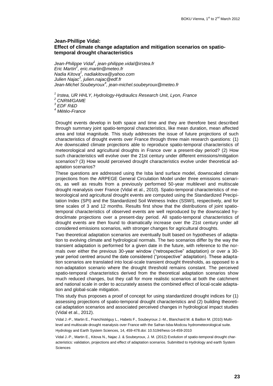## **Jean-Phillipe Vidal: Effect of climate change adaptation and mitigation scenarios on spatiotemporal drought characteristics**

*Jean-Philippe Vidal<sup>1</sup> , jean-philippe.vidal@irstea.fr Eric Martin<sup>2</sup> , eric.martin@meteo.fr Nadia Kitova<sup>2</sup> , nadiakitova@yahoo.com Julien Najac<sup>3</sup> , julien.najac@edf.fr Jean-Michel Soubeyroux<sup>4</sup> , jean-michel.soubeyroux@meteo.fr*

*1 Irstea, UR HHLY, Hydrology-Hydraulics Research Unit, Lyon, France*

*<sup>2</sup> CNRM/GAME*

*3 EDF R&D*

*<sup>4</sup> Météo-France*

Drought events develop in both space and time and they are therefore best described through summary joint spatio-temporal characteristics, like mean duration, mean affected area and total magnitude. This study addresses the issue of future projections of such characteristics of drought events over France through three main research questions: (1) Are downscaled climate projections able to reproduce spatio-temporal characteristics of meteorological and agricultural droughts in France over a present-day period? (2) How such characteristics will evolve over the 21st century under different emissions/mitigation scenarios? (3) How would perceived drought characteristics evolve under theoretical adaptation scenarios?

These questions are addressed using the Isba land surface model, downscaled climate projections from the ARPEGE General Circulation Model under three emissions scenarios, as well as results from a previously performed 50-year multilevel and multiscale drought reanalysis over France (Vidal et al., 2010). Spatio-temporal characteristics of meteorological and agricultural drought events are computed using the Standardized Precipitation Index (SPI) and the Standardized Soil Wetness Index (SSWI), respectively, and for time scales of 3 and 12 months. Results first show that the distributions of joint spatiotemporal characteristics of observed events are well reproduced by the downscaled hydroclimate projections over a present-day period. All spatio-temporal characteristics of drought events are then found to dramatically increase over the 21st century under all considered emissions scenarios, with stronger changes for agricultural droughts.

Two theoretical adaptation scenarios are eventually built based on hypotheses of adaptation to evolving climate and hydrological normals. The two scenarios differ by the way the transient adaptation is performed for a given date in the future, with reference to the normals over either the previous 30-year window ("retrospective" adaptation) or over a 30 year period centred around the date considered ("prospective" adaptation). These adaptation scenarios are translated into local-scale transient drought thresholds, as opposed to a non-adaptation scenario where the drought threshold remains constant. The perceived spatio-temporal characteristics derived from the theoretical adaptation scenarios show much reduced changes, but they call for more realistic scenarios at both the catchment and national scale in order to accurately assess the combined effect of local-scale adaptation and global-scale mitigation.

This study thus proposes a proof of concept for using standardized drought indices for (1) assessing projections of spatio-temporal drought characteristics and (2) building theoretical adaptation scenarios and associated perceived changes in hydrological impact studies (Vidal et al., 2012).

Vidal J.-P., Martin E., Franchistéguy L., Habets F., Soubeyroux J.-M., Blanchard M. & Baillon M. (2010) Multilevel and multiscale drought reanalysis over France with the Safran-Isba-Modcou hydrometeorological suite. Hydrology and Earth System Sciences, 14, 459-478.doi: 10.5194/hess-14-459-2010

Vidal J.-P., Martin E., Kitova N., Najac J. & Soubeyroux, J. M. (2012) Evolution of spatio-temporal drought characteristics: validation, projections and effect of adaptation scenarios. Submitted to Hydrology and earth System Sciences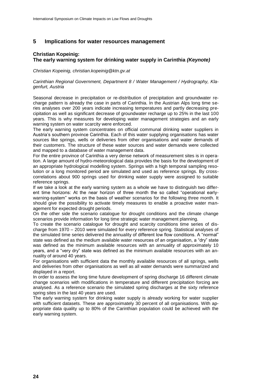## **5 Implications for water resources management**

## **Christian Kopeinig: The early warning system for drinking water supply in Carinthia** *(Keynote)*

#### *Christian Kopeinig, christian.kopeinig@ktn.gv.at*

*Carinthian Regional Government, Department 8 / Water Management / Hydrography, Klagenfurt, Austria*

Seasonal decrease in precipitation or re-distribution of precipitation and groundwater recharge pattern is already the case in parts of Carinthia. In the Austrian Alps long time series analyses over 200 years indicate increasing temperatures and partly decreasing precipitation as well as significant decrease of groundwater recharge up to 25% in the last 100 years. This is why measures for developing water management strategies and an early warning system on water scarcity were enforced.

The early warning system concentrates on official communal drinking water suppliers in Austria's southern province Carinthia. Each of this water supplying organisations has water sources like springs, wells or deliveries from other organisations and water demands of their customers. The structure of these water sources and water demands were collected and mapped to a database of water management data.

For the entire province of Carinthia a very dense network of measurement sites is in operation. A large amount of hydro-meteorological data provides the basis for the development of an appropriate hydrological modelling system. Springs with a high temporal sampling resolution or a long monitored period are simulated and used as reference springs. By crosscorrelations about 900 springs used for drinking water supply were assigned to suitable reference springs.

If we take a look at the early warning system as a whole we have to distinguish two different time horizons: At the near horizon of three month the so called "operational earlywarning-system" works on the basis of weather scenarios for the following three month. It should give the possibility to activate timely measures to enable a proactive water management for expected drought periods.

On the other side the scenario catalogue for drought conditions and the climate change scenarios provide information for long time strategic water management planning.

To create the scenario catalogue for drought and scarcity conditions time series of discharge from 1970 – 2010 were simulated for every reference spring. Statistical analyses of the simulated time series delivered the annuality of different low flow conditions. A "normal" state was defined as the medium available water resources of an organisation, a "dry" state was defined as the minimum available resources with an annuality of approximately 10 years, and a "very dry" state was defined as the minimum available resources with an annuality of around 40 years.

For organisations with sufficient data the monthly available resources of all springs, wells and deliveries from other organisations as well as all water demands were summarized and displayed in a report.

In order to assess the long time future development of spring discharge 16 different climate change scenarios with modifications in temperature and different precipitation forcing are analysed. As a reference scenario the simulated spring discharges at the sixty reference spring sites in the last 40 years are used.

The early warning system for drinking water supply is already working for water supplier with sufficient datasets. These are approximately 30 percent of all organisations. With appropriate data quality up to 80% of the Carinthian population could be achieved with the early warning system.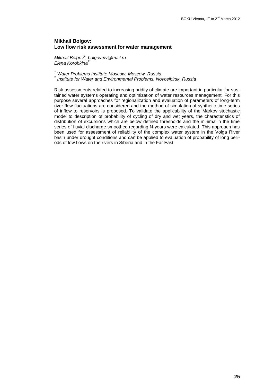## **Mikhail Bolgov: Low flow risk assessment for water management**

*Mikhail Bolgov<sup>1</sup> , bolgovmv@mail.ru Elena Korobkina<sup>2</sup>*

*<sup>1</sup> Water Problems Institute Moscow, Moscow, Russia*

*2 Institute for Water and Environmental Problems, Novosibirsk, Russia*

Risk assessments related to increasing aridity of climate are important in particular for sustained water systems operating and optimization of water resources management. For this purpose several approaches for regionalization and evaluation of parameters of long-term river flow fluctuations are considered and the method of simulation of synthetic time series of inflow to reservoirs is proposed. To validate the applicability of the Markov stochastic model to description of probability of cycling of dry and wet years, the characteristics of distribution of excursions which are below defined thresholds and the minima in the time series of fluvial discharge smoothed regarding N-years were calculated. This approach has been used for assessment of reliability of the complex water system in the Volga River basin under drought conditions and can be applied to evaluation of probability of long periods of low flows on the rivers in Siberia and in the Far East.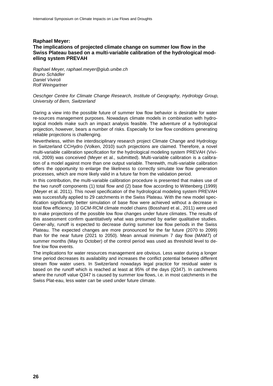## **Raphael Meyer: The implications of projected climate change on summer low flow in the Swiss Plateau based on a multi-variable calibration of the hydrological modelling system PREVAH**

*Raphael Meyer, raphael.meyer@giub.unibe.ch Bruno Schädler Daniel Viviroli Rolf Weingartner*

### *Oeschger Centre for Climate Change Research, Institute of Geography, Hydrology Group, University of Bern, Switzerland*

Daring a view into the possible future of summer low flow behavior is desirable for water re-sources management purposes. Nowadays climate models in combination with hydrological models make such an impact analysis feasible. The adventure of a hydrological projection, however, bears a number of risks. Especially for low flow conditions generating reliable projections is challenging.

Nevertheless, within the interdisciplinary research project Climate Change and Hydrology in Switzerland CCHydro (Volken, 2010) such projections are claimed. Therefore, a novel multi-variable calibration specification for the hydrological modeling system PREVAH (Viviroli, 2009) was conceived (Meyer et al., submitted). Multi-variable calibration is a calibration of a model against more than one output variable. Therewith, multi-variable calibration offers the opportunity to enlarge the likeliness to correctly simulate low flow generation processes, which are more likely valid in a future far from the validation period.

In this contribution, the multi-variable calibration procedure is presented that makes use of the two runoff components (1) total flow and (2) base flow according to Wittenberg (1999) (Meyer et al. 2011). This novel specification of the hydrological modeling system PREVAH was successfully applied to 29 catchments in the Swiss Plateau. With the new model specification significantly better simulation of base flow were achieved without a decrease in total flow efficiency. 10 GCM-RCM climate model chains (Bosshard et al., 2011) were used to make projections of the possible low flow changes under future climates. The results of this assessment confirm quantitatively what was presumed by earlier qualitative studies. Gener-ally, runoff is expected to decrease during summer low flow periods in the Swiss Plateau. The expected changes are more pronounced for the far future (2070 to 2099) than for the near future (2021 to 2050). Mean annual minimum 7 day flow (MAM7) of summer months (May to October) of the control period was used as threshold level to define low flow events.

The implications for water resources management are obvious. Less water during a longer time period decreases its availability and increases the conflict potential between different stream flow water users. In Switzerland nowadays legal practice for residual water is based on the runoff which is reached at least at 95% of the days (Q347). In catchments where the runoff value Q347 is caused by summer low flows, i.e. in most catchments in the Swiss Plat-eau, less water can be used under future climate.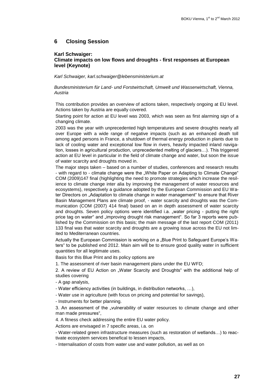## **6 Closing Session**

#### **Karl Schwaiger:**

## **Climate impacts on low flows and droughts - first responses at European level (Keynote)**

*Karl Schwaiger, karl.schwaiger@lebensministerium.at*

*Bundesministerium für Land- und Forstwirtschaft, Umwelt und Wasserwirtschaft, Vienna, Austria*

This contribution provides an overview of actions taken, respectively ongoing at EU level. Actions taken by Austria are equally covered.

Starting point for action at EU level was 2003, which was seen as first alarming sign of a changing climate.

2003 was the year with unprecedented high temperatures and severe droughts nearly all over Europe with a wide range of negative impacts (such as an enhanced death toll among aged persons in France, a shutdown of thermal energy production in plants due to lack of cooling water and exceptional low flow in rivers, heavily impacted inland navigation, losses in agricultural production, unprecedented melting of glaciers…). This triggered action at EU level in particular in the field of climate change and water, but soon the issue of water scarcity and droughts moved in.

The major steps taken – based on a number of studies, conferences and research results - with regard to - climate change were the "White Paper on Adapting to Climate Change" COM (2009)147 final (highlighting the need to promote strategies which increase the resilience to climate change inter alia by improving the management of water resources and ecosystems), respectively a guidance adopted by the European Commission and EU Water Directors on "Adaptation to climate change in water management" to ensure that River Basin Management Plans are climate proof, - water scarcity and droughts was the Communication (COM (2007) 414 final) based on an in depth assessment of water scarcity and droughts. Seven policy options were identified i.a. "water pricing - putting the right price tag on water" and "improving drought risk management". So far 3 reports were published by the Commission on this basis; the main message of the last report COM (2011) 133 final was that water scarcity and droughts are a growing issue across the EU not limited to Mediterranean countries.

Actually the European Commission is working on a "Blue Print to Safeguard Europe's Waters" to be published end 2012. Main aim will be to ensure good quality water in sufficient quantities for all legitimate uses.

Basis for this Blue Print and its policy options are

1. The assessment of river basin management plans under the EU WFD;

2. A review of EU Action on "Water Scarcity and Droughts" with the additional help of studies covering

- A gap analysis,

- Water efficiency activities (in buildings, in distribution networks, …),

- Water use in agriculture (with focus on pricing and potential for savings),

- Instruments for better planning.

3. An assessment of the "vulnerability of water resources to climate change and other man made pressures",

4. A fitness check addressing the entire EU water policy.

Actions are envisaged in 7 specific areas, i.a. on

- Water-related green infrastructure measures (such as restoration of wetlands…) to reactivate ecosystem services benefical to lessen impacts,

- Internalisation of costs from water use and water pollution, as well as on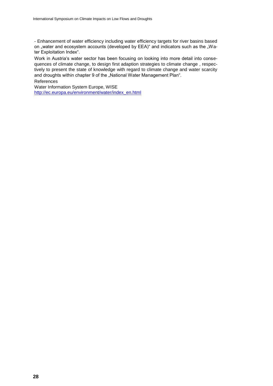- Enhancement of water efficiency including water efficiency targets for river basins based on "water and ecosystem accounts (developed by EEA)" and indicators such as the "Water Exploitation Index".

Work in Austria's water sector has been focusing on looking into more detail into consequences of climate change, to design first adaption strategies to climate change , respectively to present the state of knowledge with regard to climate change and water scarcity and droughts within chapter 9 of the "National Water Management Plan".

#### References

Water Information System Europe, WISE [http://ec.europa.eu/environment/water/index\\_en.html](http://ec.europa.eu/environment/water/index_en.html)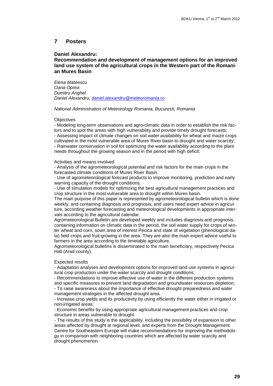## **7 Posters**

## **Daniel Alexandru:**

## **Recommendation and development of management options for an improved land use system of the agricultural crops in the Western part of the Romanian Mures Basin**

*Elena Mateescu Oana Oprea Dumitru Anghel Daniel Alexandru, [daniel.alexandru@meteoromania.ro](mailto:daniel.alexandru@meteoromania.ro)*

#### *National Administration of Meteorology Romania, Bucuresti, Romania*

#### **Objectives**

- Modeling long-term observations and agro-climatic data in order to establish the risk factors and to spot the areas with high vulnerability and provide timely drought forecasts; - Assessing impact of climate changes on soil water availability for wheat and maize crops cultivated in the most vulnerable area of Mures River basin to drought and water scarcity; - Rainwater conservation in soil for optimizing the water availability according to the plant needs throughout the growing season and in the period with high deficit;

#### Activities and means involved

- Analysis of the agrometeorological potential and risk factors for the main crops in the forecasted climate conditions of Mures River Basin.

- Use of agrometeorological forecast products to improve monitoring, prediction and early warning capacity of the drought conditions.

- Use of simulation models for optimizing the best agricultural management practices and crop structure in the most vulnerable area to drought within Mures basin.

The main purpose of this paper is represented by agrometeorological bulletin which is done weekly, and containing diagnosis and prognosis, and users need expert advice in agriculture, according weather forecasting and meteorological developments in appropriate intervals according to the agricultural calendar.

Agrometeorological Bulletin are developed weekly and includes diagnosis and prognosis, containing information on climatic data in the period, the soil water supply for crops of winter wheat and corn, sown area of interest Pecica and state of vegetation (phenological data) field crops and fruit-growing in the area. They are also the main expert advice useful to farmers in the area according to the timetable agriculture.

Agrometeorological bulletins is disseminated to the main beneficiary, respectively Pecica Hall (Arad county).

#### Expected results

- Adaptation analyses and development options for improved land use systems in agricultural crop production under the water scarcity and drought conditions;

- Recommendations to improve effective use of water in the different production systems and specific measures to prevent land degradation and groundwater resources depletion; - To raise awareness about the importance of effective drought preparedness and water management strategies in the affected drought area.

- Increase crop yields and its productivity by using efficiently the water either in irrigated or non-irrigated areas;

- Economic benefits by using appropriate agricultural management practices and crop structure in areas vulnerable to drought.

- The results of this study is the applicability, including the possibility of expansion to other areas affected by drought at regional level, and experts from the Drought Management Centre for Southeastern Europe will make recommendations for improving the methodology in comparison with neighboring countries which are affected by water scarcity and drought phenomenon.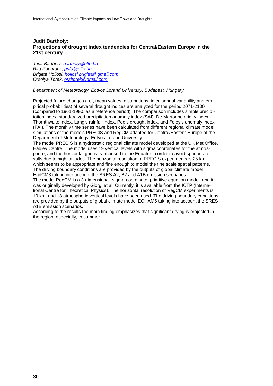## **Judit Bartholy: Projections of drought index tendencies for Central/Eastern Europe in the 21st century**

*Judit Bartholy, [bartholy@elte.hu](mailto:bartholy@elte.hu) Rita Pongracz, [prita@elte.hu](mailto:prita@elte.hu) Brigitta Hollosi, [hollosi.brigitta@gmail.com](mailto:hollosi.brigitta@gmail.com) Orsolya Torek, [orsitorek@gmail.com](mailto:orsitorek@gmail.com)*

## *Department of Meteorology, Eotvos Lorand University, Budapest, Hungary*

Projected future changes (i.e., mean values, distributions, inter-annual variability and empirical probabilities) of several drought indices are analyzed for the period 2071-2100 (compared to 1961-1990, as a reference period). The comparison includes simple precipitation index, standardized precipitation anomaly index (SAI), De Martonne aridity index, Thornthwaite index, Lang's rainfall index, Ped's drought index, and Foley's anomaly index (FAI). The monthly time series have been calculated from different regional climate model simulations of the models PRECIS and RegCM adapted for Central/Eastern Europe at the Department of Meteorology, Eotvos Lorand University.

The model PRECIS is a hydrostatic regional climate model developed at the UK Met Office, Hadley Centre. The model uses 19 vertical levels with sigma coordinates for the atmosphere, and the horizontal grid is transposed to the Equator in order to avoid spurious results due to high latitudes. The horizontal resolution of PRECIS experiments is 25 km, which seems to be appropriate and fine enough to model the fine scale spatial patterns. The driving boundary conditions are provided by the outputs of global climate model HadCM3 taking into account the SRES A2, B2 and A1B emission scenarios.

The model RegCM is a 3-dimensional, sigma-coordinate, primitive equation model, and it was originally developed by Giorgi et al. Currently, it is available from the ICTP (International Centre for Theoretical Physics). The horizontal resolution of RegCM experiments is 10 km, and 18 atmospheric vertical levels have been used. The driving boundary conditions are provided by the outputs of global climate model ECHAM5 taking into account the SRES A1B emission scenarios.

According to the results the main finding emphasizes that significant drying is projected in the region, especially, in summer.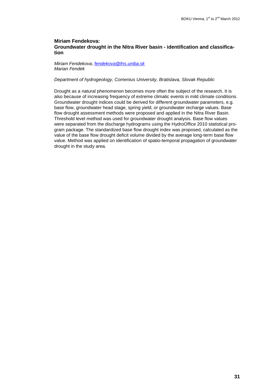## **Miriam Fendekova: Groundwater drought in the Nitra River basin - identification and classification**

*Miriam Fendekova, [fendekova@fns.uniba.sk](mailto:fendekova@fns.uniba.sk) Marian Fendek*

#### *Department of hydrogeology, Comenius University, Bratislava, Slovak Republic*

Drought as a natural phenomenon becomes more often the subject of the research. It is also because of increasing frequency of extreme climatic events in mild climate conditions. Groundwater drought indices could be derived for different groundwater parameters, e.g. base flow, groundwater head stage, spring yield, or groundwater recharge values. Base flow drought assessment methods were proposed and applied in the Nitra River Basin. Threshold level method was used for groundwater drought analysis. Base flow values were separated from the discharge hydrograms using the HydroOffice 2010 statistical program package. The standardized base flow drought index was proposed, calculated as the value of the base flow drought deficit volume divided by the average long-term base flow value. Method was applied on identification of spatio-temporal propagation of groundwater drought in the study area.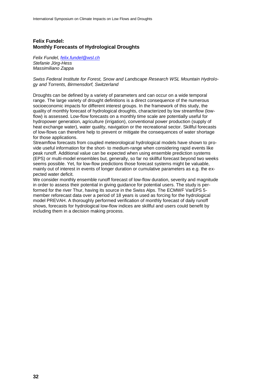## **Felix Fundel: Monthly Forecasts of Hydrological Droughts**

*Felix Fundel, [felix.fundel@wsl.ch](mailto:felix.fundel@wsl.ch) Stefanie Jörg-Hess Massimiliano Zappa*

*Swiss Federal Institute for Forest, Snow and Landscape Research WSL Mountain Hydrology and Torrents, Birmensdorf, Switzerland*

Droughts can be defined by a variety of parameters and can occur on a wide temporal range. The large variety of drought definitions is a direct consequence of the numerous socioeconomic impacts for different interest groups. In the framework of this study, the quality of monthly forecast of hydrological droughts, characterized by low streamflow (lowflow) is assessed. Low-flow forecasts on a monthly time scale are potentially useful for hydropower generation, agriculture (irrigation), conventional power production (supply of heat exchange water), water quality, navigation or the recreational sector. Skillful forecasts of low-flows can therefore help to prevent or mitigate the consequences of water shortage for those applications.

Streamflow forecasts from coupled meteorological hydrological models have shown to provide useful information for the short- to medium-range when considering rapid events like peak runoff. Additional value can be expected when using ensemble prediction systems (EPS) or multi-model ensembles but, generally, so far no skillful forecast beyond two weeks seems possible. Yet, for low-flow predictions those forecast systems might be valuable, mainly out of interest in events of longer duration or cumulative parameters as e.g. the expected water deficit.

We consider monthly ensemble runoff forecast of low-flow duration, severity and magnitude in order to assess their potential in giving guidance for potential users. The study is performed for the river Thur, having its source in the Swiss Alps. The ECMWF VarEPS 5 member reforecast data over a period of 18 years is used as forcing for the hydrological model PREVAH. A thoroughly performed verification of monthly forecast of daily runoff shows, forecasts for hydrological low-flow indices are skillful and users could benefit by including them in a decision making process.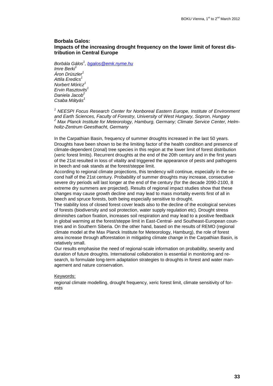## **Borbala Galos: Impacts of the increasing drought frequency on the lower limit of forest distribution in Central Europe**

*Borbála Gálos<sup>1</sup> , [bgalos@emk.nyme.hu](mailto:bgalos@emk.nyme.hu) Imre Berki<sup>1</sup> Áron Drüszler<sup>1</sup> Attila Eredics<sup>1</sup> Norbert Móricz<sup>1</sup> Ervin Rasztovits<sup>1</sup> Daniela Jacob<sup>2</sup> Csaba Mátyás<sup>1</sup>*

*<sup>1</sup> NEESPI Focus Research Center for Nonboreal Eastern Europe, Institute of Environment and Earth Sciences, Faculty of Forestry, University of West Hungary, Sopron, Hungary <sup>2</sup> Max Planck Institute for Meteorology, Hamburg, Germany; Climate Service Center, Helmholtz-Zentrum Geesthacht, Germany*

In the Carpathian Basin, frequency of summer droughts increased in the last 50 years. Droughts have been shown to be the limiting factor of the health condition and presence of climate-dependent (zonal) tree species in this region at the lower limit of forest distribution (xeric forest limits). Recurrent droughts at the end of the 20th century and in the first years of the 21st resulted in loss of vitality and triggered the appearance of pests and pathogens in beech and oak stands at the forest/steppe limit.

According to regional climate projections, this tendency will continue, especially in the second half of the 21st century. Probability of summer droughts may increase, consecutive severe dry periods will last longer at the end of the century (for the decade 2090-2100, 8 extreme dry summers are projected). Results of regional impact studies show that these changes may cause growth decline and may lead to mass mortality events first of all in beech and spruce forests, both being especially sensitive to drought.

The stability loss of closed forest cover leads also to the decline of the ecological services of forests (biodiversity and soil protection, water supply regulation etc). Drought stress diminishes carbon fixation, increases soil respiration and may lead to a positive feedback in global warming at the forest/steppe limit in East-Central- and Southeast-European countries and in Southern Siberia. On the other hand, based on the results of REMO (regional climate model at the Max Planck Institute for Meteorology, Hamburg), the role of forest area increase through afforestation in mitigating climate change in the Carpathian Basin, is relatively small.

Our results emphasise the need of regional-scale information on probability, severity and duration of future droughts. International collaboration is essential in monitoring and research, to formulate long-term adaptation strategies to droughts in forest and water management and nature conservation.

#### Keywords:

regional climate modelling, drought frequency, xeric forest limit, climate sensitivity of forests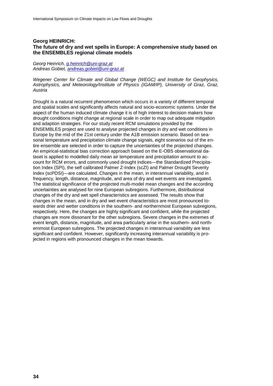## **Georg HEINRICH: The future of dry and wet spells in Europe: A comprehensive study based on the ENSEMBLES regional climate models**

*Georg Heinrich, [g.heinrich@uni-graz.at](mailto:g.heinrich@uni-graz.at) Andreas Gobiet, [andreas.gobiet@uni-graz.at](mailto:andreas.gobiet@uni-graz.at)*

*Wegener Center for Climate and Global Change (WEGC) and Institute for Geophysics, Astrophysics, and Meteorology/Institute of Physics (IGAM/IP), University of Graz, Graz, Austria*

Drought is a natural recurrent phenomenon which occurs in a variety of different temporal and spatial scales and significantly affects natural and socio-economic systems. Under the aspect of the human induced climate change it is of high interest to decision makers how drought conditions might change at regional scale in order to map out adequate mitigation and adaption strategies. For our study recent RCM simulations provided by the ENSEMBLES project are used to analyse projected changes in dry and wet conditions in Europe by the mid of the 21st century under the A1B emission scenario. Based on seasonal temperature and precipitation climate change signals, eight scenarios out of the entire ensemble are selected in order to capture the uncertainties of the projected changes. An empirical-statistical bias correction approach based on the E-OBS observational dataset is applied to modelled daily mean air temperature and precipitation amount to account for RCM errors, and commonly used drought indices—the Standardized Precipitation Index (SPI), the self calibrated Palmer Z-Index (scZI) and Palmer Drought Severity Index (scPDSI)—are calculated. Changes in the mean, in interannual variability, and in frequency, length, distance, magnitude, and area of dry and wet events are investigated. The statistical significance of the projected multi-model mean changes and the according uncertainties are analysed for nine European subregions. Furthermore, distributional changes of the dry and wet spell characteristics are assessed. The results show that changes in the mean, and in dry and wet event characteristics are most pronounced towards drier and wetter conditions in the southern- and northernmost European subregions, respectively. Here, the changes are highly significant and confident, while the projected changes are more dissonant for the other subregions. Severe changes in the extremes of event length, distance, magnitude, and area particularly arise in the southern- and northernmost European subregions. The projected changes in interannual variability are less significant and confident. However, significantly increasing interannual variability is projected in regions with pronounced changes in the mean towards.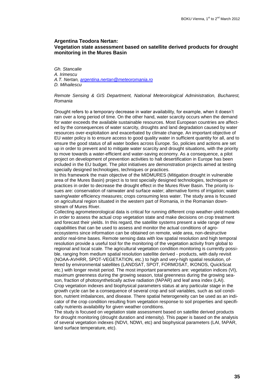### **Argentina Teodora Nertan: Vegetation state assessment based on satellite derived products for drought monitoring in the Mures Basin**

*Gh. Stancalie A. Irimescu A.T. Nertan, [argentina.nertan@meteoromania.ro](mailto:argentina.nertan@meteoromania.ro) D. Mihailescu*

#### *Remote Sensing & GIS Department, National Meteorological Administration, Bucharest, Romania*

Drought refers to a temporary decrease in water availability, for example, when it doesn't rain over a long period of time. On the other hand, water scarcity occurs when the demand for water exceeds the available sustainable resources. Most European countries are affected by the consequences of water scarcity, droughts and land degradation caused by water resources over-exploitation and exacerbated by climate change. An important objective of EU water policy is to ensure access to good quality water in sufficient quantity for all, and to ensure the good status of all water bodies across Europe. So, policies and actions are set up in order to prevent and to mitigate water scarcity and drought situations, with the priority to move towards a water-efficient and water-saving economy. As a consequence, a pilot project on development of prevention activities to halt desertification in Europe has been included in the EU budget. The pilot initiatives are demonstration projects aimed at testing specially designed technologies, techniques or practices.

In this framework the main objective of the MIDMURES (Mitigation drought in vulnerable area of the Mures Basin) project is to test specially designed technologies, techniques or practices in order to decrease the drought effect in the Mures River Basin. The priority issues are: conservation of rainwater and surface water; alternative forms of irrigation; water saving/water efficiency measures; crops consuming less water. The study area is focused on agricultural region situated in the western part of Romania, in the Romanian downstream of Mures River.

Collecting agrometeorological data is critical for running different crop weather-yield models in order to assess the actual crop vegetation state and make decisions on crop treatment and forecast their yields. In this regard, the satellite systems present a wide range of new capabilities that can be used to assess and monitor the actual conditions of agroecosystems since information can be obtained on remote, wide area, non-destructive and/or real-time bases. Remote sensing data with low spatial resolution and high temporal resolution provide a useful tool for the monitoring of the vegetation activity from global to regional and local scale. The agricultural vegetation condition monitoring is currently possible, ranging from medium spatial resolution satellite derived - products, with daily revisit (NOAA-AVHRR, SPOT-VEGETATION, etc.) to high and very-high spatial resolution, offered by environmental satellites (LANDSAT, SPOT, FORMOSAT, IKONOS, QuickScat etc.) with longer revisit period. The most important parameters are: vegetation indices (VI), maximum greenness during the growing season, total greenness during the growing season, fraction of photosynthetically active radiation (fAPAR) and leaf area index (LAI). Crop vegetation indexes and biophysical parameters status at any particular stage in the growth cycle can be a consequence of several crop and soil variables, such as soil condition, nutrient imbalances, and disease. There spatial heterogeneity can be used as an indicator of the crop condition resulting from vegetation response to soil properties and specifically nutrients availability for given weather conditions.

The study is focused on vegetation state assessment based on satellite derived products for drought monitoring (drought duration and intensity). This paper is based on the analysis of several vegetation indexes (NDVI, NDWI, etc) and biophysical parameters (LAI, fAPAR, land surface temperature, etc).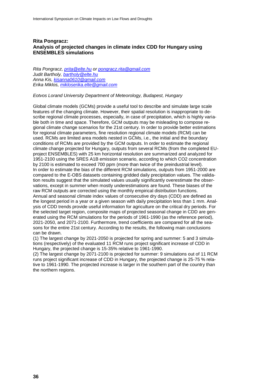## **Rita Pongracz: Analysis of projected changes in climate index CDD for Hungary using ENSEMBLES simulations**

*Rita Pongracz, [prita@elte.hu](mailto:prita@elte.hu) or [pongracz.rita@gmail.com](mailto:pongracz.rita@gmail.com) Judit Bartholy, [bartholy@elte.hu](mailto:bartholy@elte.hu) Anna Kis, [kisanna0610@gmail.com](mailto:kisanna0610@gmail.com) Erika Miklos, [mikloserika.elte@gmail.com](mailto:mikloserika.elte@gmail.com)*

#### *Eotvos Lorand University Department of Meteorology, Budapest, Hungary*

Global climate models (GCMs) provide a useful tool to describe and simulate large scale features of the changing climate. However, their spatial resolution is inappropriate to describe regional climate processes, especially, in case of precipitation, which is highly variable both in time and space. Therefore, GCM outputs may be misleading to compose regional climate change scenarios for the 21st century. In order to provide better estimations for regional climate parameters, fine resolution regional climate models (RCM) can be used. RCMs are limited area models nested in GCMs, i.e., the initial and the boundary conditions of RCMs are provided by the GCM outputs. In order to estimate the regional climate change projected for Hungary, outputs from several RCMs (from the completed EUproject ENSEMBLES) with 25 km horizontal resolution are summarized and analyzed for 1951-2100 using the SRES A1B emission scenario, according to which CO2 concentration by 2100 is estimated to exceed 700 ppm (more than twice of the preindustrial level). In order to estimate the bias of the different RCM simulations, outputs from 1951-2000 are compared to the E-OBS datasets containing gridded daily precipitation values. The validation results suggest that the simulated values usually significantly overestimate the observations, except in summer when mostly underestimations are found. These biases of the raw RCM outputs are corrected using the monthly empirical distribution functions. Annual and seasonal climate index values of consecutive dry days (CDD) are defined as the longest period in a year or a given season with daily precipitation less than 1 mm. Analysis of CDD trends provide useful information for agriculture on the critical dry periods. For the selected target region, composite maps of projected seasonal change in CDD are generated using the RCM simulations for the periods of 1961-1990 (as the reference period), 2021-2050, and 2071-2100. Furthermore, trend coefficients are compared for all the seasons for the entire 21st century. According to the results, the following main conclusions can be drawn.

(1) The largest change by 2021-2050 is projected for spring and summer: 5 and 3 simulations (respectively) of the evaluated 11 RCM runs project significant increase of CDD in Hungary, the projected change is 15-35% relative to 1961-1990.

(2) The largest change by 2071-2100 is projected for summer: 9 simulations out of 11 RCM runs project significant increase of CDD in Hungary, the projected change is 25-75 % relative to 1961-1990. The projected increase is larger in the southern part of the country than the northern regions.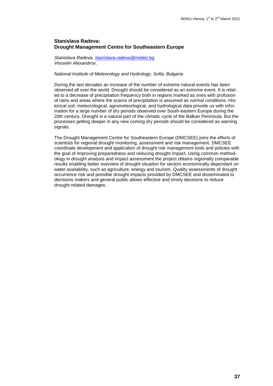## **Stanislava Radeva: Drought Management Centre for Southeastern Europe**

*Stanislava Radeva,* [stanislava.radeva@meteo.bg](mailto:stanislava.radeva@meteo.bg) *Vesselin Alexandrov,*

## *National Institute of Meteorology and Hydrology, Sofia, Bulgaria*

During the last decades an increase of the number of extreme natural events has been observed all over the world. Drought should be considered as an extreme event. It is related to a decrease of precipitation frequency both in regions marked as ones with profusion of rains and areas where the scarce of precipitation is assumed as normal conditions. Historical soil, meteorological, agrometeorlogical, and hydrological data provide us with information for a large number of dry periods observed over South-eastern Europe during the 20th century. Drought is a natural part of the climatic cycle of the Balkan Peninsula. But the processes getting deeper in any new coming dry periods should be considered as warning signals.

The Drought Management Centre for Southeastern Europe (DMCSEE) joins the efforts of scientists for regional drought monitoring, assessment and risk management. DMCSEE coordinate development and application of drought risk management tools and policies with the goal of improving preparedness and reducing drought impact. Using common methodology in drought analysis and impact assessment the project obtains regionally comparable results enabling better overview of drought situation for sectors economically dependant on water availability, such as agriculture, energy and tourism. Quality assessments of drought occurrence risk and possible drought impacts provided by DMCSEE and disseminated to decisions makers and general public allows effective and timely decisions to reduce drought related damages.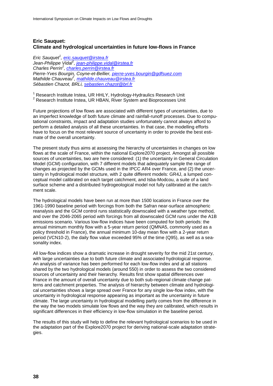## **Eric Sauquet: Climate and hydrological uncertainties in future low-flows in France**

*Eric Sauquet<sup>1</sup> , [eric.sauquet@irstea.fr](mailto:eric.sauquet@irstea.fr) Jean-Philippe Vidal<sup>1</sup> , [jean-philippe.vidal@irstea.fr](mailto:jean-philippe.vidal@irstea.fr) Charles Perrin<sup>2</sup> , [charles.perrin@irstea.fr](mailto:charles.perrin@irstea.fr) Pierre-Yves Bourgin, Coyne-et-Bellier, [pierre-yves.bourgin@gdfsuez.com](mailto:pierre-yves.bourgin@gdfsuez.com) Mathilde Chauveau<sup>2</sup> , [mathilde.chauveau@irstea.fr](mailto:mathilde.chauveau@irstea.fr) Sébastien Chazot, BRLi, [sebastien.chazot@brl.fr](mailto:sebastien.chazot@brl.fr)*

<sup>1</sup> Research Institute Irstea, UR HHLY, Hydrology-Hydraulics Research Unit <sup>2</sup> Research Institute Irstea, UR HBAN, River System and Bioprocesses Unit

Future projections of low flows are associated with different types of uncertainties, due to an imperfect knowledge of both future climate and rainfall-runoff processes. Due to computational constraints, impact and adaptation studies unfortunately cannot always afford to perform a detailed analysis of all these uncertainties. In that case, the modelling efforts have to focus on the most relevant source of uncertainty in order to provide the best estimate of the overall uncertainty.

The present study thus aims at assessing the hierarchy of uncertainties in changes on low flows at the scale of France, within the national Explore2070 project. Amongst all possible sources of uncertainties, two are here considered: (1) the uncertainty in General Circulation Model (GCM) configuration, with 7 different models that adequately sample the range of changes as projected by the GCMs used in the IPCC AR4 over France, and (2) the uncertainty in hydrological model structure, with 2 quite different models: GR4J, a lumped conceptual model calibrated on each target catchment, and Isba-Modcou, a suite of a land surface scheme and a distributed hydrogeological model not fully calibrated at the catchment scale.

The hydrological models have been run at more than 1500 locations in France over the 1961-1990 baseline period with forcings from both the Safran near-surface atmospheric reanalysis and the GCM control runs statistically downscaled with a weather type method, and over the 2046-2065 period with forcings from all downscaled GCM runs under the A1B emissions scenario. Various low-flow indices have been computed for both periods: the annual minimum monthly flow with a 5-year return period (QMNA5, commonly used as a policy threshold in France), the annual minimum 10-day mean flow with a 2-year return period (VCN10-2), the daily flow value exceeded 95% of the time (Q95), as well as a seasonality index.

All low-flow indices show a dramatic increase in drought severity for the mid 21st century, with large uncertainties due to both future climate and associated hydrological response. An analysis of variance has been performed for each low-flow index and at all stations shared by the two hydrological models (around 550) in order to assess the two considered sources of uncertainty and their hierarchy. Results first show spatial differences over France in the amount of overall uncertainty due to both sub-regional climate change patterns and catchment properties. The analysis of hierarchy between climate and hydrological uncertainties shows a large spread over France for any single low-flow index, with the uncertainty in hydrological response appearing as important as the uncertainty in future climate. The large uncertainty in hydrological modelling partly comes from the difference in the way the two models simulate low flows and the way they are calibrated, which results in significant differences in their efficiency in low-flow simulation in the baseline period.

The results of this study will help to define the relevant hydrological scenarios to be used in the adaptation part of the Explore2070 project for deriving national-scale adaptation strategies.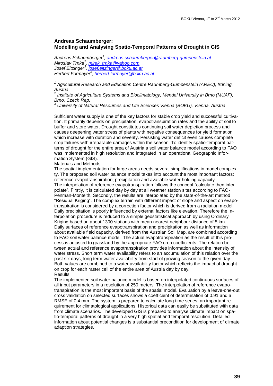## **Andreas Schaumberger: Modelling and Analysing Spatio-Temporal Patterns of Drought in GIS**

*Andreas Schaumberger<sup>1</sup> , [andreas.schaumberger@raumberg-gumpenstein.at](mailto:andreas.schaumberger@raumberg-gumpenstein.at) Miroslav Trnka<sup>2</sup> , [mirek\\_trnka@yahoo.com](mailto:mirek_trnka@yahoo.com) Josef Eitzinger<sup>3</sup> , [josef.eitzinger@boku.ac.at](mailto:josef.eitzinger@boku.ac.at) Herbert Formayer<sup>3</sup> , [herbert.formayer@boku.ac.at](mailto:herbert.formayer@boku.ac.at)*

<sup>1</sup> Agricultural Research and Education Centre Raumberg-Gumpenstein (AREC), Irdning,

*Austria 2 Institute of Agriculture Systems and Bioclimatology, Mendel University in Brno (MUAF), Brno, Czech Rep.*

*<sup>3</sup> University of Natural Resources and Life Sciences Vienna (BOKU), Vienna, Austria*

Sufficient water supply is one of the key factors for stable crop yield and successful cultivation. It primarily depends on precipitation, evapotranspiration rates and the ability of soil to buffer and store water. Drought constitutes continuing soil water depletion process and causes deepening water stress of plants with negative consequences for yield formation which increase with duration and severity. Persisting water deficit even causes complete crop failures with irreparable damages within the season. To identify spatio-temporal patterns of drought for the entire area of Austria a soil water balance model according to FAO was implemented in high resolution and integrated in an operational Geographic Information System (GIS).

#### Materials and Methods

The spatial implementation for large areas needs several simplifications in model complexity. The proposed soil water balance model takes into account the most important factors: reference evapotranspiration, precipitation and available water holding capacity. The interpolation of reference evapotranspiration follows the concept "calculate then interpolate". Firstly, it is calculated day by day at all weather station sites according to FAO-Penman-Monteith. Secondly, the results are interpolated by the state-of-the-art method "Residual Kriging". The complex terrain with different impact of slope and aspect on evapotranspiration is considered by a correction factor which is derived from a radiation model. Daily precipitation is poorly influenced by external factors like elevation. Therefore the interpolation procedure is reduced to a simple geostatistical approach by using Ordinary Kriging based on about 1300 stations with mean nearest neighbour distance of 5 km. Daily surfaces of reference evapotranspiration and precipitation as well as information about available field capacity, derived from the Austrian Soil Map, are combined according to FAO soil water balance model. The actual evapotranspiration as the result of this process is adjusted to grassland by the appropriate FAO crop coefficients. The relation between actual and reference evapotranspiration provides information about the intensity of water stress. Short term water availability refers to an accumulation of this relation over the past six days, long term water availability from start of growing season to the given day. Both values are combined to a water availability factor which reflects the impact of drought on crop for each raster cell of the entire area of Austria day by day. **Results** 

The implemented soil water balance model is based on interpolated continuous surfaces of all input parameters in a resolution of 250 meters. The interpolation of reference evapotranspiration is the most important basis of the spatial model. Evaluation by a leave-one-out cross validation on selected surfaces shows a coefficient of determination of 0.91 and a RMSE of 0.4 mm. The system is prepared to calculate long time series, an important requirement for climatological applications. Historical data can easily be substituted with data from climate scenarios. The developed GIS is prepared to analyse climate impact on spatio-temporal patterns of drought in a very high spatial and temporal resolution. Detailed information about potential changes is a substantial precondition for development of climate adaption strategies.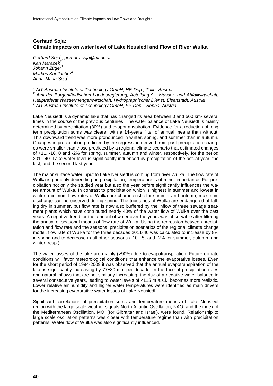## **Gerhard Soja: Climate impacts on water level of Lake Neusiedl and Flow of River Wulka**

*Gerhard Soja<sup>1</sup> , gerhard.soja@ait.ac.at Karl Maracek<sup>2</sup> Johann Züger<sup>3</sup> Markus Knoflacher<sup>3</sup> Anna-Maria Soja<sup>1</sup>*

*1 AIT Austrian Institute of Technology GmbH, HE-Dep., Tulln, Austria 2 Amt der Burgenländischen Landesregierung, Abteilung 9 - Wasser- und Abfallwirtschaft, Hauptreferat Wassermengenwirtschaft, Hydrographischer Dienst, Eisenstadt; Austria 3 AIT Austrian Institute of Technology GmbH, FP-Dep., Vienna, Austria*

Lake Neusiedl is a dynamic lake that has changed its area between 0 and 500 km² several times in the course of the previous centuries. The water balance of Lake Neusiedl is mainly determined by precipitation (80%) and evapotranspiration. Evidence for a reduction of long term precipitation sums was clearer with a 14-years filter of annual means than without. This downward trend was more pronounced in winter, spring, and summer than in autumn. Changes in precipitation predicted by the regression derived from past precipitation changes were smaller than those predicted by a regional climate scenario that estimated changes of +11, -16, 0 and -2% for spring, summer, autumn and winter, respectively, for the period 2011-40. Lake water level is significantly influenced by precipitation of the actual year, the last, and the second last year.

The major surface water input to Lake Neusiedl is coming from river Wulka. The flow rate of Wulka is primarily depending on precipitation, temperature is of minor importance. For precipitation not only the studied year but also the year before significantly influences the water amount of Wulka. In contrast to precipitation which is highest in summer and lowest in winter, minimum flow rates of Wulka are characteristic for summer and autumn, maximum discharge can be observed during spring. The tributaries of Wulka are endangered of falling dry in summer, but flow rate is now also buffered by the inflow of three sewage treatment plants which have contributed nearly 40% of the water flow of Wulka over the past years. A negative trend for the amount of water over the years was observable after filtering the annual or seasonal means of flow rate of Wulka. Using the regression between precipitation and flow rate and the seasonal precipitation scenarios of the regional climate change model, flow rate of Wulka for the three decades 2011-40 was calculated to increase by 8% in spring and to decrease in all other seasons (-10, -5, and -2% for summer, autumn, and winter, resp.).

The water losses of the lake are mainly (>90%) due to evapotranspiration. Future climate conditions will favor meteorological conditions that enhance the evaporative losses. Even for the short period of 1994-2009 it was observed that the annual evapotranspiration of the lake is significantly increasing by 77±30 mm per decade. In the face of precipitation rates and natural inflows that are not similarly increasing, the risk of a negative water balance in several consecutive years, leading to water levels of <115 m a.s.l., becomes more realistic. Lower relative air humidity and higher water temperatures were identified as main drivers for the increasing evaporative water losses of Lake Neusiedl.

Significant correlations of precipitation sums and temperature means of Lake Neusiedl region with the large scale weather signals North Atlantic Oscillation, NAO, and the index of the Mediterranean Oscillation, MOI (for Gibraltar and Israel), were found. Relationship to large scale oscillation patterns was closer with temperature regime than with precipitation patterns. Water flow of Wulka was also significantly influenced.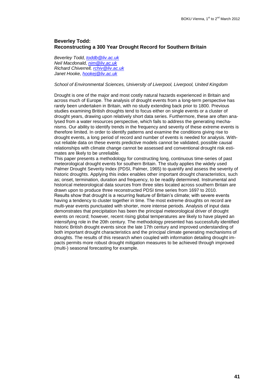## **Beverley Todd: Reconstructing a 300 Year Drought Record for Southern Britain**

*Beverley Todd, [toddb@liv.ac.uk](mailto:toddb@liv.ac.uk) Neil Macdonald, [nim@liv.ac.uk](mailto:nim@liv.ac.uk) Richard Chiverrell, [rchiv@liv.ac.uk](mailto:rchiv@liv.ac.uk) Janet Hooke, [hookej@liv.ac.uk](mailto:hookej@liv.ac.uk)*

## *School of Environmental Sciences, University of Liverpool, Liverpool, United Kingdom*

Drought is one of the major and most costly natural hazards experienced in Britain and across much of Europe. The analysis of drought events from a long-term perspective has rarely been undertaken in Britain, with no study extending back prior to 1800. Previous studies examining British droughts tend to focus either on single events or a cluster of drought years, drawing upon relatively short data series. Furthermore, these are often analysed from a water resources perspective, which fails to address the generating mechanisms. Our ability to identify trends in the frequency and severity of these extreme events is therefore limited. In order to identify patterns and examine the conditions giving rise to drought events, a long period of record and number of events is needed for analysis. Without reliable data on these events predictive models cannot be validated, possible causal relationships with climate change cannot be assessed and conventional drought risk estimates are likely to be unreliable.

This paper presents a methodology for constructing long, continuous time-series of past meteorological drought events for southern Britain. The study applies the widely used Palmer Drought Severity Index (PDSI, Palmer, 1965) to quantify and assess the severity of historic droughts. Applying this index enables other important drought characteristics, such as; onset, termination, duration and frequency, to be readily determined. Instrumental and historical meteorological data sources from three sites located across southern Britain are drawn upon to produce three reconstructed PDSI time series from 1697 to 2010. Results show that drought is a recurring feature of Britain's climate; with severe events having a tendency to cluster together in time. The most extreme droughts on record are multi-year events punctuated with shorter, more intense periods. Analysis of input data demonstrates that precipitation has been the principal meteorological driver of drought events on record; however, recent rising global temperatures are likely to have played an intensifying role in the 20th century. The methodology presented has successfully identified historic British drought events since the late 17th century and improved understanding of both important drought characteristics and the principal climate generating mechanisms of droughts. The results of this research when coupled with information detailing drought impacts permits more robust drought mitigation measures to be achieved through improved (multi-) seasonal forecasting for example.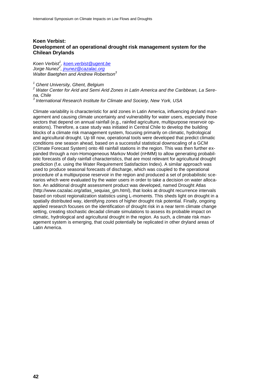## **Koen Verbist: Development of an operational drought risk management system for the Chilean Drylands**

*Koen Verbist<sup>1</sup> , [koen.verbist@ugent.be](mailto:koen.verbist@ugent.be) Jorge Nunez<sup>2</sup> , [jnunez@cazalac.org](mailto:jnunez@cazalac.org) Walter Baetghen and Andrew Robertson<sup>3</sup>*

*<sup>1</sup> Ghent University, Ghent, Belgium*

*<sup>2</sup> Water Center for Arid and Semi Arid Zones in Latin America and the Caribbean, La Sere-*

*na, Chile 3 International Research Institute for Climate and Society, New York, USA*

Climate variability is characteristic for arid zones in Latin America, influencing dryland management and causing climate uncertainty and vulnerability for water users, especially those sectors that depend on annual rainfall (e.g., rainfed agriculture, multipurpose reservoir operations). Therefore, a case study was initiated in Central Chile to develop the building blocks of a climate risk management system, focusing primarily on climatic, hydrological and agricultural drought. Up till now, operational tools were developed that predict climatic conditions one season ahead, based on a successful statistical downscaling of a GCM (Climate Forecast System) onto 48 rainfall stations in the region. This was then further expanded through a non-Homogeneous Markov Model (nHMM) to allow generating probabilistic forecasts of daily rainfall characteristics, that are most relevant for agricultural drought prediction (f.e. using the Water Requirement Satisfaction Index). A similar approach was used to produce seasonal forecasts of discharge, which was coupled to the operational procedure of a multipurpose reservoir in the region and produced a set of probabilistic scenarios which were evaluated by the water users in order to take a decision on water allocation. An additional drought assessment product was developed, named Drought Atlas (http://www.cazalac.org/atlas\_sequias\_gm.html), that looks at drought recurrence intervals based on robust regionalization statistics using L-moments. This sheds light on drought in a spatially distributed way, identifying zones of higher drought risk potential. Finally, ongoing applied research focuses on the identification of drought risk in a near term climate change setting, creating stochastic decadal climate simulations to assess its probable impact on climatic, hydrological and agricultural drought in the region. As such, a climate risk management system is emerging, that could potentially be replicated in other dryland areas of Latin America.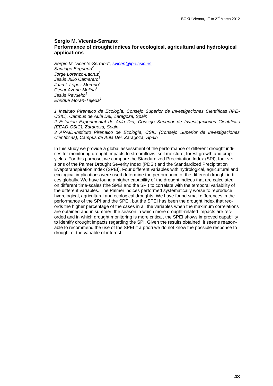### **Sergio M. Vicente-Serrano: Performance of drought indices for ecological, agricultural and hydrological applications**

*Sergio M. Vicente-Serrano<sup>1</sup> , [svicen@ipe.csic.es](mailto:svicen@ipe.csic.es) Santiago Beguería<sup>2</sup> Jorge Lorenzo-Lacruz<sup>1</sup> Jesús Julio Camarero<sup>3</sup> Juan I. López-Moreno<sup>1</sup> Cesar Azorin-Molina<sup>1</sup> Jesús Revuelto<sup>1</sup> Enrique Morán-Tejeda<sup>1</sup>*

*1 Instituto Pirenaico de Ecología, Consejo Superior de Investigaciones Científicas (IPE-CSIC), Campus de Aula Dei, Zaragoza, Spain*

*2 Estación Experimental de Aula Dei, Consejo Superior de Investigaciones Científicas (EEAD-CSIC), Zaragoza, Spain*

*3 ARAID-Instituto Pirenaico de Ecología, CSIC (Consejo Superior de Investigaciones Científicas), Campus de Aula Dei, Zaragoza, Spain*

In this study we provide a global assessment of the performance of different drought indices for monitoring drought impacts to streamflows, soil moisture, forest growth and crop yields. For this purpose, we compare the Standardized Precipitation Index (SPI), four versions of the Palmer Drought Severity Index (PDSI) and the Standardized Precipitation Evapotranspiration Index (SPEI). Four different variables with hydrological, agricultural and ecological implications were used determine the performance of the different drought indices globally. We have found a higher capability of the drought indices that are calculated on different time-scales (the SPEI and the SPI) to correlate with the temporal variability of the different variables. The Palmer indices performed systematically worse to reproduce hydrological, agricultural and ecological droughts. We have found small differences in the performance of the SPI and the SPEI, but the SPEI has been the drought index that records the higher percentage of the cases in all the variables when the maximum correlations are obtained and in summer, the season in which more drought-related impacts are recorded and in which drought monitoring is more critical, the SPEI shows improved capability to identify drought impacts regarding the SPI. Given the results obtained, it seems reasonable to recommend the use of the SPEI if a priori we do not know the possible response to drought of the variable of interest.